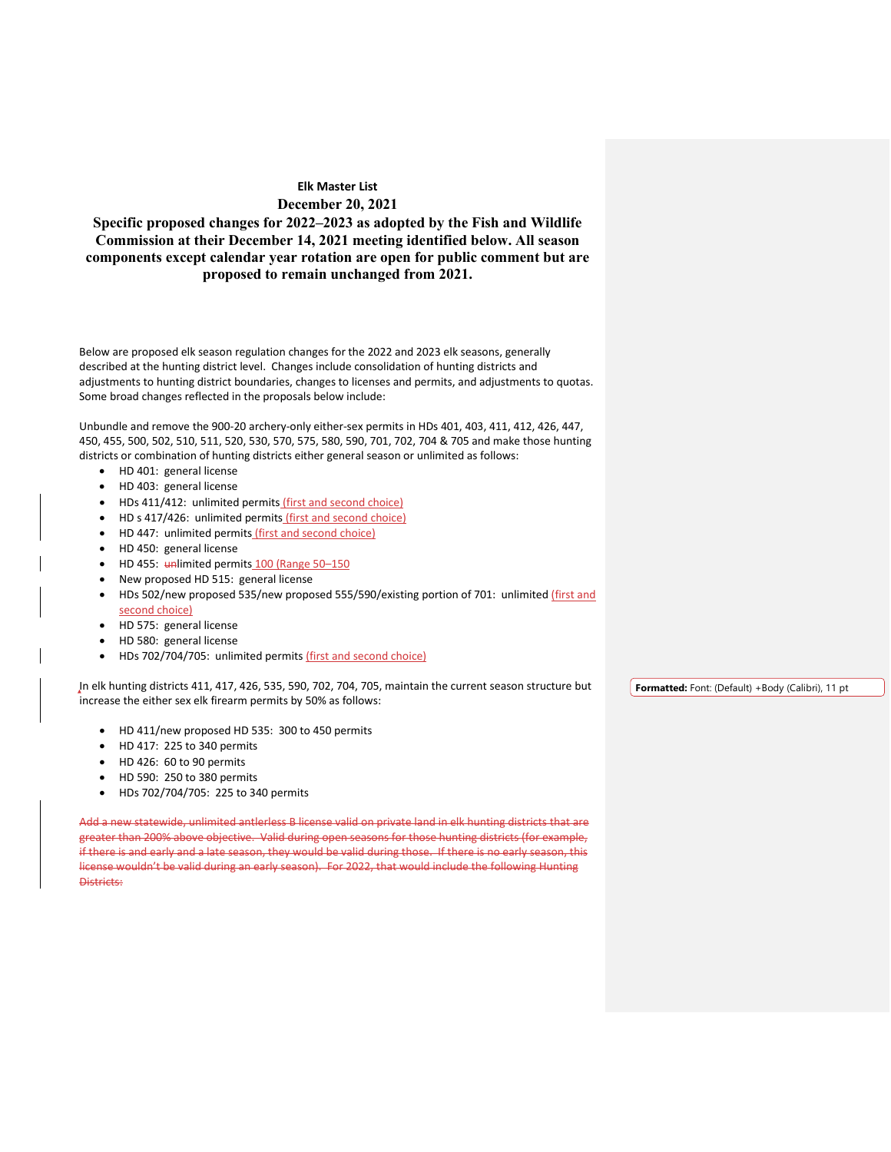**Specific proposed changes for 2022–2023 as adopted by the Fish and Wildlife Commission at their December 14, 2021 meeting identified below. All season components except calendar year rotation are open for public comment but are proposed to remain unchanged from 2021.**

Below are proposed elk season regulation changes for the 2022 and 2023 elk seasons, generally described at the hunting district level. Changes include consolidation of hunting districts and adjustments to hunting district boundaries, changes to licenses and permits, and adjustments to quotas. Some broad changes reflected in the proposals below include:

Unbundle and remove the 900-20 archery-only either-sex permits in HDs 401, 403, 411, 412, 426, 447, 450, 455, 500, 502, 510, 511, 520, 530, 570, 575, 580, 590, 701, 702, 704 & 705 and make those hunting districts or combination of hunting districts either general season or unlimited as follows:

- HD 401: general license
- HD 403: general license
- HDs 411/412: unlimited permits (first and second choice)
- HD s 417/426: unlimited permits (first and second choice)
- HD 447: unlimited permits (first and second choice)
- HD 450: general license
- HD 455: unlimited permits 100 (Range 50-150
- New proposed HD 515: general license
- HDs 502/new proposed 535/new proposed 555/590/existing portion of 701: unlimited (first and second choice)
- HD 575: general license
- HD 580: general license
- HDs 702/704/705: unlimited permits (first and second choice)

In elk hunting districts 411, 417, 426, 535, 590, 702, 704, 705, maintain the current season structure but increase the either sex elk firearm permits by 50% as follows:

- HD 411/new proposed HD 535: 300 to 450 permits
- HD 417: 225 to 340 permits
- HD 426: 60 to 90 permits
- HD 590: 250 to 380 permits
- HDs 702/704/705: 225 to 340 permits

Add a new statewide, unlimited antlerless B license valid on private land in elk hunting districts that are greater than 200% above objective. Valid during open seasons for those hunting districts (for example, if there is and early and a late season, they would be valid during those. If there is no early season, this license wouldn't be valid during an early season). For 2022, that would include the following Hunting Districts:

**Formatted:** Font: (Default) +Body (Calibri), 11 pt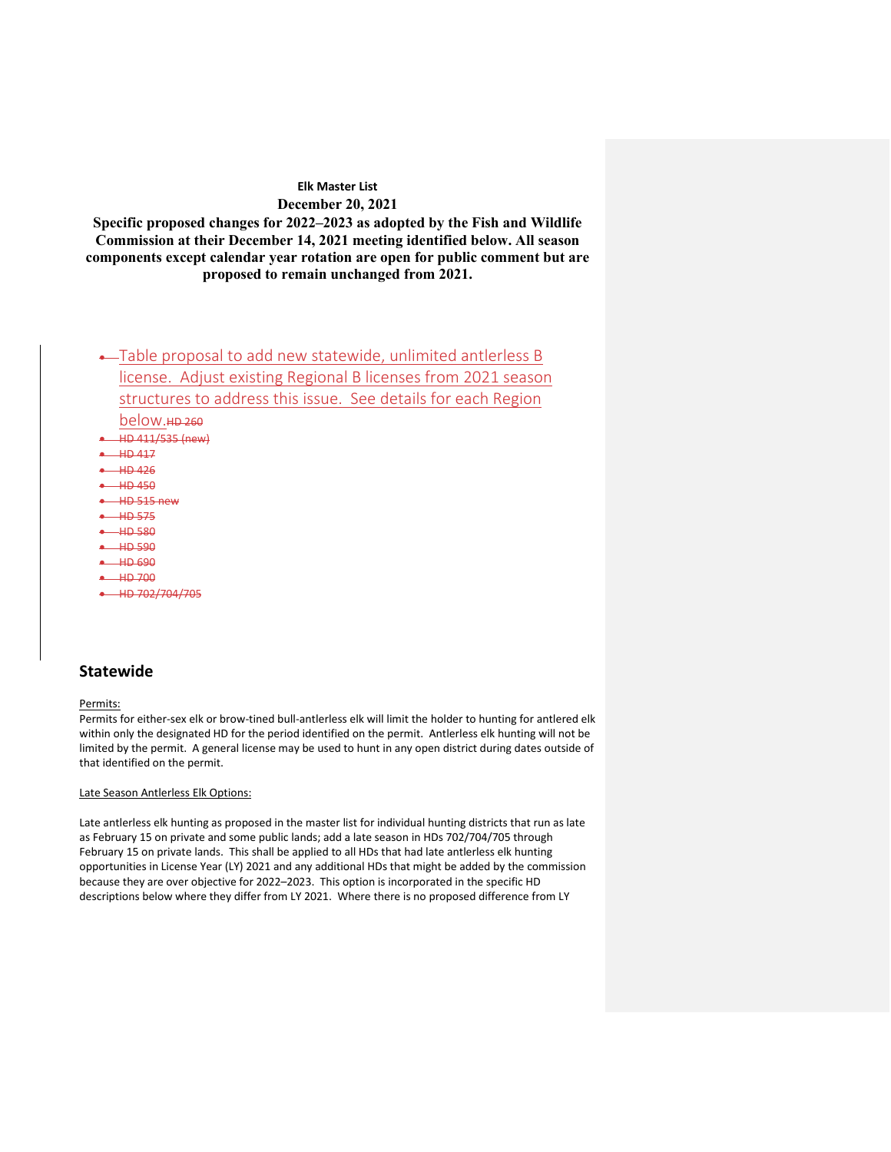**Specific proposed changes for 2022–2023 as adopted by the Fish and Wildlife Commission at their December 14, 2021 meeting identified below. All season components except calendar year rotation are open for public comment but are proposed to remain unchanged from 2021.**

# • Table proposal to add new statewide, unlimited antlerless B license. Adjust existing Regional B licenses from 2021 season structures to address this issue. See details for each Region below. • HD 411/535 (new)

- $-$  HD 417 • HD 426 • HD 450  $-$ HD 515 new
- HD 575
- HD 580
- HD 590
- $+$  HD 690
- $\rightarrow$  HD 700
- HD 702/704/705

## **Statewide**

#### Permits:

Permits for either-sex elk or brow-tined bull-antlerless elk will limit the holder to hunting for antlered elk within only the designated HD for the period identified on the permit. Antlerless elk hunting will not be limited by the permit. A general license may be used to hunt in any open district during dates outside of that identified on the permit.

#### Late Season Antlerless Elk Options:

Late antlerless elk hunting as proposed in the master list for individual hunting districts that run as late as February 15 on private and some public lands; add a late season in HDs 702/704/705 through February 15 on private lands. This shall be applied to all HDs that had late antlerless elk hunting opportunities in License Year (LY) 2021 and any additional HDs that might be added by the commission because they are over objective for 2022–2023. This option is incorporated in the specific HD descriptions below where they differ from LY 2021. Where there is no proposed difference from LY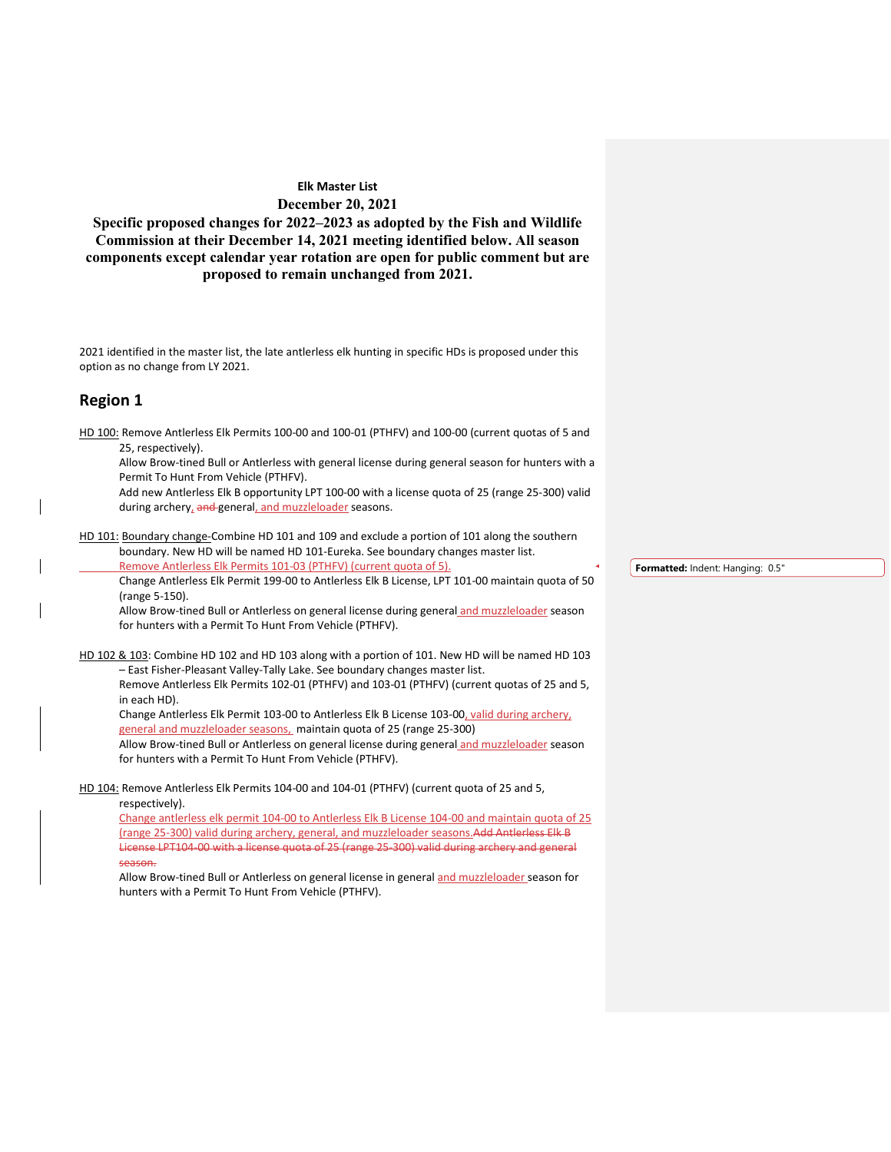**Specific proposed changes for 2022–2023 as adopted by the Fish and Wildlife Commission at their December 14, 2021 meeting identified below. All season components except calendar year rotation are open for public comment but are proposed to remain unchanged from 2021.**

2021 identified in the master list, the late antlerless elk hunting in specific HDs is proposed under this option as no change from LY 2021.

## **Region 1**

HD 100: Remove Antlerless Elk Permits 100-00 and 100-01 (PTHFV) and 100-00 (current quotas of 5 and 25, respectively).

Allow Brow-tined Bull or Antlerless with general license during general season for hunters with a Permit To Hunt From Vehicle (PTHFV).

Add new Antlerless Elk B opportunity LPT 100-00 with a license quota of 25 (range 25-300) valid during archery, and general, and muzzleloader seasons.

HD 101: Boundary change-Combine HD 101 and 109 and exclude a portion of 101 along the southern boundary. New HD will be named HD 101-Eureka. See boundary changes master list. Remove Antlerless Elk Permits 101-03 (PTHFV) (current quota of 5).

Change Antlerless Elk Permit 199-00 to Antlerless Elk B License, LPT 101-00 maintain quota of 50 (range 5-150).

Allow Brow-tined Bull or Antlerless on general license during general and muzzleloader season for hunters with a Permit To Hunt From Vehicle (PTHFV).

HD 102 & 103: Combine HD 102 and HD 103 along with a portion of 101. New HD will be named HD 103 – East Fisher-Pleasant Valley-Tally Lake. See boundary changes master list. Remove Antlerless Elk Permits 102-01 (PTHFV) and 103-01 (PTHFV) (current quotas of 25 and 5,

in each HD).

Change Antlerless Elk Permit 103-00 to Antlerless Elk B License 103-00, valid during archery, general and muzzleloader seasons, maintain quota of 25 (range 25-300)

Allow Brow-tined Bull or Antlerless on general license during general and muzzleloader season for hunters with a Permit To Hunt From Vehicle (PTHFV).

HD 104: Remove Antlerless Elk Permits 104-00 and 104-01 (PTHFV) (current quota of 25 and 5,

respectively).

Change antlerless elk permit 104-00 to Antlerless Elk B License 104-00 and maintain quota of 25 (range 25-300) valid during archery, general, and muzzleloader seasons.Add Antlerless Elk B License LPT104-00 with a license quota of 25 (range 25-300) valid during archery and general season.

Allow Brow-tined Bull or Antlerless on general license in general and muzzleloader season for hunters with a Permit To Hunt From Vehicle (PTHFV).

**Formatted:** Indent: Hanging: 0.5"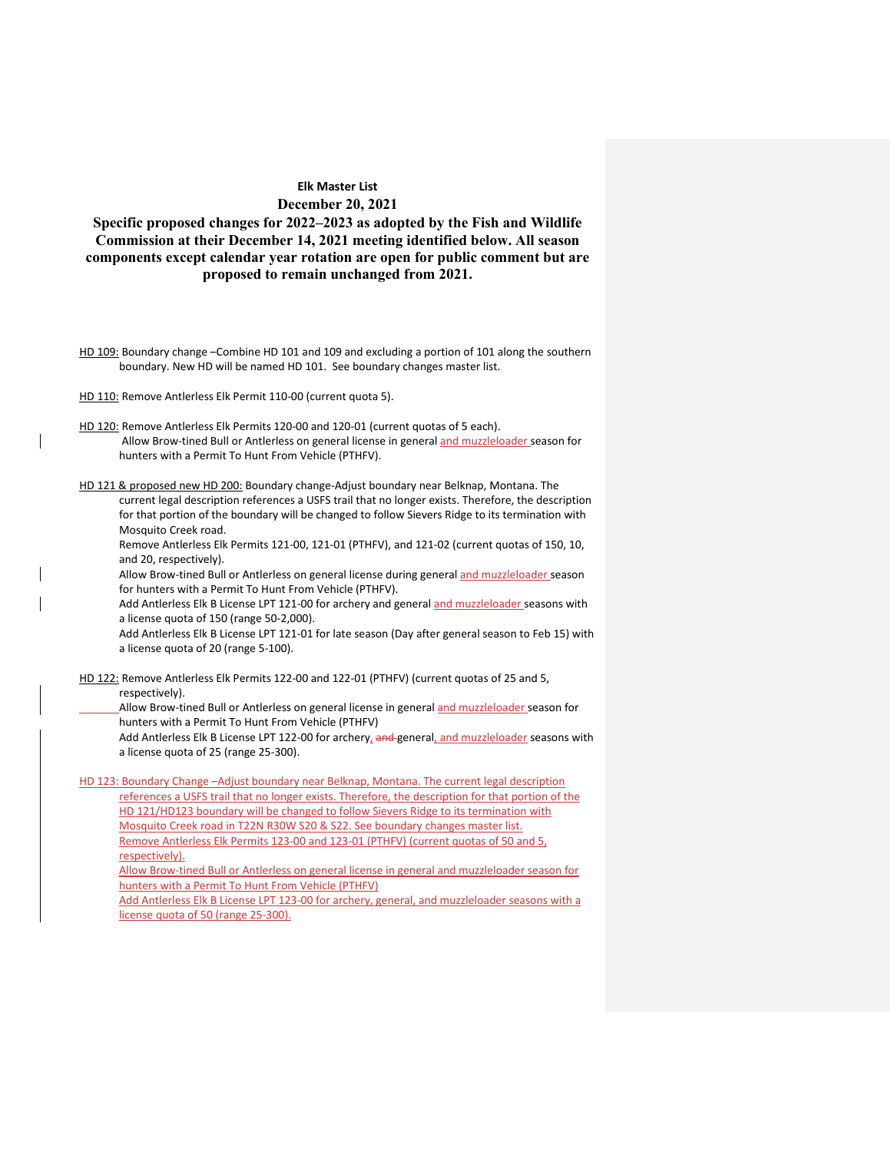**Specific proposed changes for 2022–2023 as adopted by the Fish and Wildlife Commission at their December 14, 2021 meeting identified below. All season components except calendar year rotation are open for public comment but are proposed to remain unchanged from 2021.**

- HD 109: Boundary change –Combine HD 101 and 109 and excluding a portion of 101 along the southern boundary. New HD will be named HD 101. See boundary changes master list.
- HD 110: Remove Antlerless Elk Permit 110-00 (current quota 5).
- HD 120: Remove Antlerless Elk Permits 120-00 and 120-01 (current quotas of 5 each). Allow Brow-tined Bull or Antlerless on general license in general and muzzleloader season for hunters with a Permit To Hunt From Vehicle (PTHFV).
- HD 121 & proposed new HD 200: Boundary change-Adjust boundary near Belknap, Montana. The current legal description references a USFS trail that no longer exists. Therefore, the description for that portion of the boundary will be changed to follow Sievers Ridge to its termination with Mosquito Creek road.

Remove Antlerless Elk Permits 121-00, 121-01 (PTHFV), and 121-02 (current quotas of 150, 10, and 20, respectively).

Allow Brow-tined Bull or Antlerless on general license during general and muzzleloader season for hunters with a Permit To Hunt From Vehicle (PTHFV).

Add Antlerless Elk B License LPT 121-00 for archery and general and muzzleloader seasons with a license quota of 150 (range 50-2,000).

Add Antlerless Elk B License LPT 121-01 for late season (Day after general season to Feb 15) with a license quota of 20 (range 5-100).

HD 122: Remove Antlerless Elk Permits 122-00 and 122-01 (PTHFV) (current quotas of 25 and 5, respectively).

Allow Brow-tined Bull or Antlerless on general license in general and muzzleloader season for hunters with a Permit To Hunt From Vehicle (PTHFV)

Add Antlerless Elk B License LPT 122-00 for archery, and general, and muzzleloader seasons with a license quota of 25 (range 25-300).

HD 123: Boundary Change –Adjust boundary near Belknap, Montana. The current legal description references a USFS trail that no longer exists. Therefore, the description for that portion of the HD 121/HD123 boundary will be changed to follow Sievers Ridge to its termination with Mosquito Creek road in T22N R30W S20 & S22. See boundary changes master list. Remove Antlerless Elk Permits 123-00 and 123-01 (PTHFV) (current quotas of 50 and 5, respectively).

Allow Brow-tined Bull or Antlerless on general license in general and muzzleloader season for hunters with a Permit To Hunt From Vehicle (PTHFV)

Add Antlerless Elk B License LPT 123-00 for archery, general, and muzzleloader seasons with a license quota of 50 (range 25-300).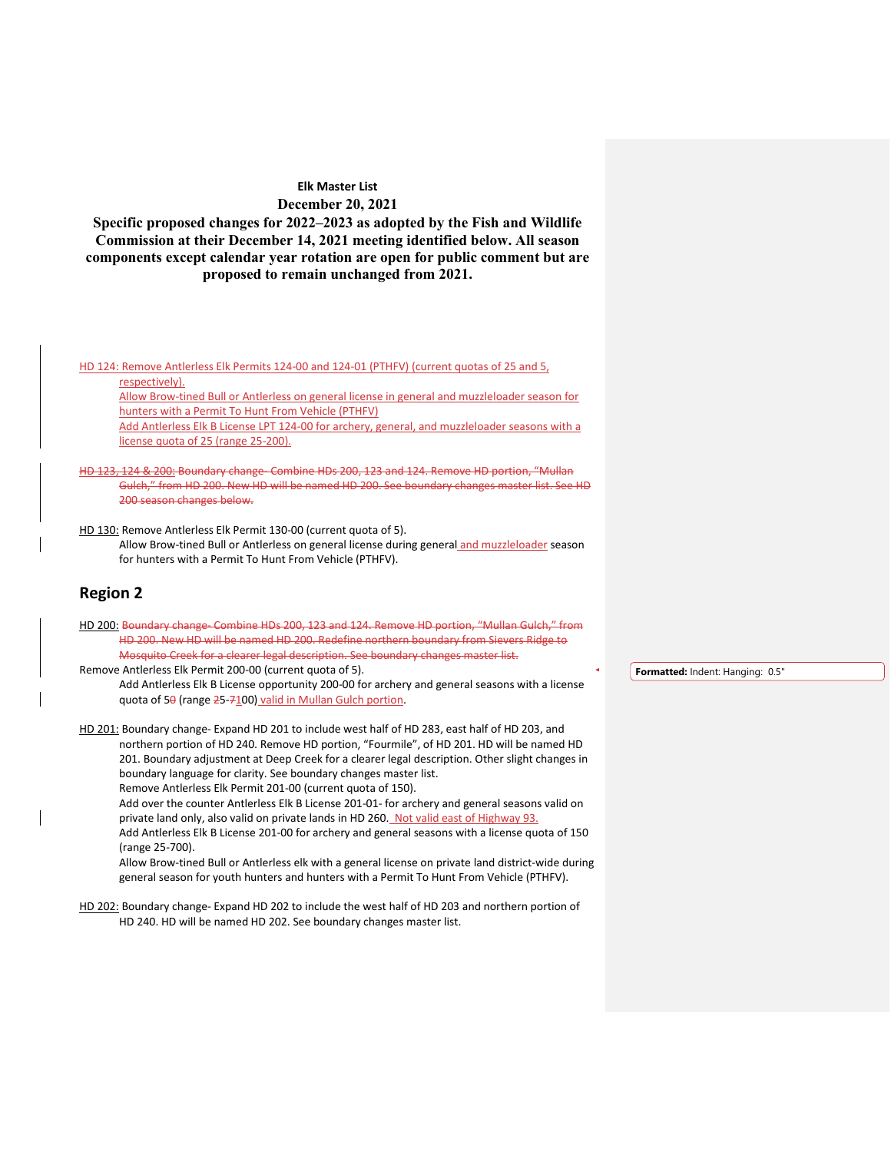**Specific proposed changes for 2022–2023 as adopted by the Fish and Wildlife Commission at their December 14, 2021 meeting identified below. All season components except calendar year rotation are open for public comment but are proposed to remain unchanged from 2021.**

HD 124: Remove Antlerless Elk Permits 124-00 and 124-01 (PTHFV) (current quotas of 25 and 5, respectively).

Allow Brow-tined Bull or Antlerless on general license in general and muzzleloader season for hunters with a Permit To Hunt From Vehicle (PTHFV) Add Antlerless Elk B License LPT 124-00 for archery, general, and muzzleloader seasons with a

license quota of 25 (range 25-200).

& 200: Boundary change- Combine HDs 200, 123 and 124. Remove HD portion, "Mullan Gulch," from HD 200. New HD will be named HD 200. See boundary changes master list. See HD 200 season changes below.

HD 130: Remove Antlerless Elk Permit 130-00 (current quota of 5).

Allow Brow-tined Bull or Antlerless on general license during general and muzzleloader season for hunters with a Permit To Hunt From Vehicle (PTHFV).

## **Region 2**

HD 200: Boundary change- Combine HDs 200, 123 and 124. Remove HD portion, "Mullan Gulch," from HD 200. New HD will be named HD 200. Redefine northern boundary from Sievers Ridge to Mosquito Creek for a clearer legal description. See boundary changes master list.

Remove Antlerless Elk Permit 200-00 (current quota of 5). Add Antlerless Elk B License opportunity 200-00 for archery and general seasons with a license quota of 50 (range 25-7100) valid in Mullan Gulch portion.

HD 201: Boundary change- Expand HD 201 to include west half of HD 283, east half of HD 203, and northern portion of HD 240. Remove HD portion, "Fourmile", of HD 201. HD will be named HD 201. Boundary adjustment at Deep Creek for a clearer legal description. Other slight changes in boundary language for clarity. See boundary changes master list. Remove Antlerless Elk Permit 201-00 (current quota of 150).

Add over the counter Antlerless Elk B License 201-01- for archery and general seasons valid on private land only, also valid on private lands in HD 260. Not valid east of Highway 93. Add Antlerless Elk B License 201-00 for archery and general seasons with a license quota of 150 (range 25-700).

Allow Brow-tined Bull or Antlerless elk with a general license on private land district-wide during general season for youth hunters and hunters with a Permit To Hunt From Vehicle (PTHFV).

HD 202: Boundary change- Expand HD 202 to include the west half of HD 203 and northern portion of HD 240. HD will be named HD 202. See boundary changes master list.

**Formatted:** Indent: Hanging: 0.5"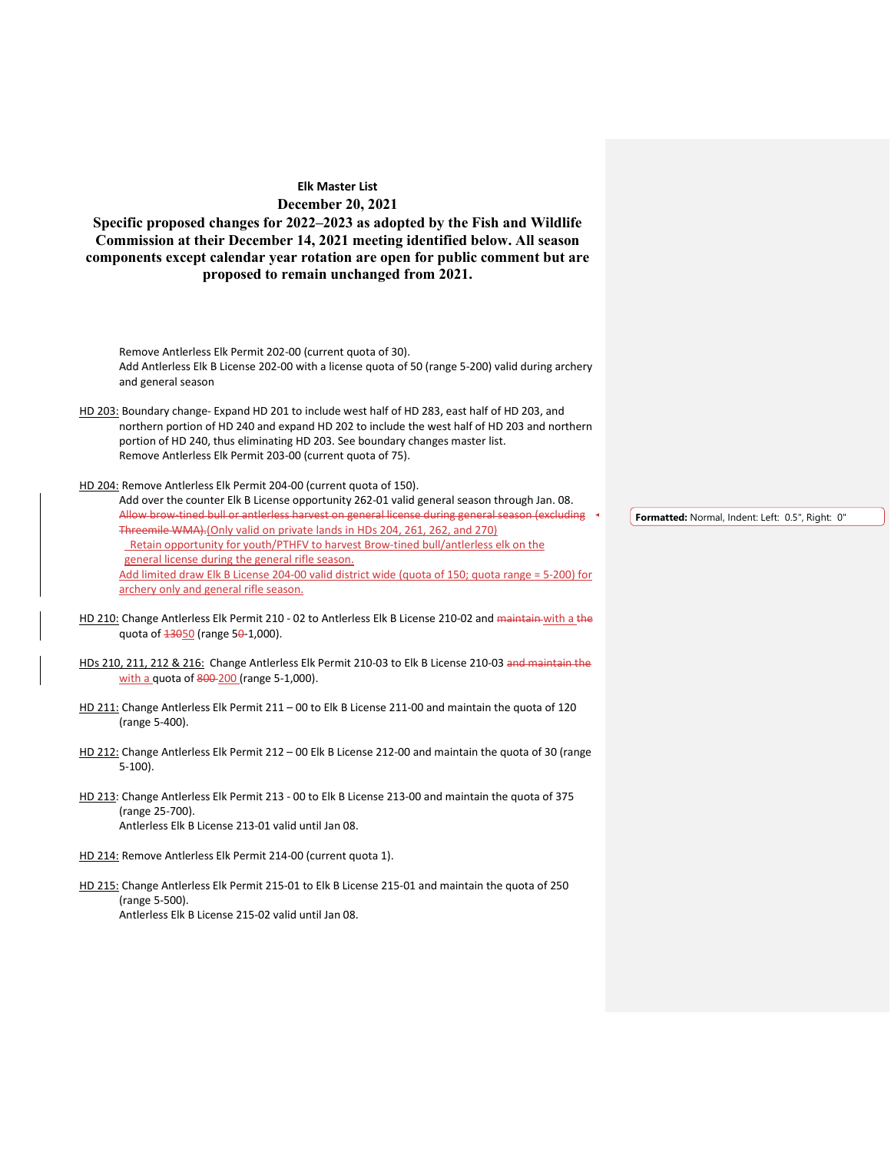**Specific proposed changes for 2022–2023 as adopted by the Fish and Wildlife Commission at their December 14, 2021 meeting identified below. All season components except calendar year rotation are open for public comment but are proposed to remain unchanged from 2021.**

Remove Antlerless Elk Permit 202-00 (current quota of 30). Add Antlerless Elk B License 202-00 with a license quota of 50 (range 5-200) valid during archery and general season

HD 203: Boundary change- Expand HD 201 to include west half of HD 283, east half of HD 203, and northern portion of HD 240 and expand HD 202 to include the west half of HD 203 and northern portion of HD 240, thus eliminating HD 203. See boundary changes master list. Remove Antlerless Elk Permit 203-00 (current quota of 75).

HD 204: Remove Antlerless Elk Permit 204-00 (current quota of 150).

Add over the counter Elk B License opportunity 262-01 valid general season through Jan. 08. Allow brow-tined bull or antlerless harvest on general license during general season (excluding Threemile WMA).(Only valid on private lands in HDs 204, 261, 262, and 270) Retain opportunity for youth/PTHFV to harvest Brow-tined bull/antlerless elk on the general license during the general rifle season. Add limited draw Elk B License 204-00 valid district wide (quota of 150; quota range = 5-200) for archery only and general rifle season.

- HD 210: Change Antlerless Elk Permit 210 02 to Antlerless Elk B License 210-02 and maintain with a the quota of  $\frac{13050}{1}$  (range 50-1,000).
- HDs 210, 211, 212 & 216: Change Antlerless Elk Permit 210-03 to Elk B License 210-03 and maintain the with a quota of 800-200 (range 5-1,000).
- HD 211: Change Antlerless Elk Permit 211 00 to Elk B License 211-00 and maintain the quota of 120 (range 5-400).
- HD 212: Change Antlerless Elk Permit 212 00 Elk B License 212-00 and maintain the quota of 30 (range 5-100).
- HD 213: Change Antlerless Elk Permit 213 00 to Elk B License 213-00 and maintain the quota of 375 (range 25-700). Antlerless Elk B License 213-01 valid until Jan 08.
- HD 214: Remove Antlerless Elk Permit 214-00 (current quota 1).

HD 215: Change Antlerless Elk Permit 215-01 to Elk B License 215-01 and maintain the quota of 250 (range 5-500). Antlerless Elk B License 215-02 valid until Jan 08.

**Formatted:** Normal, Indent: Left: 0.5", Right: 0"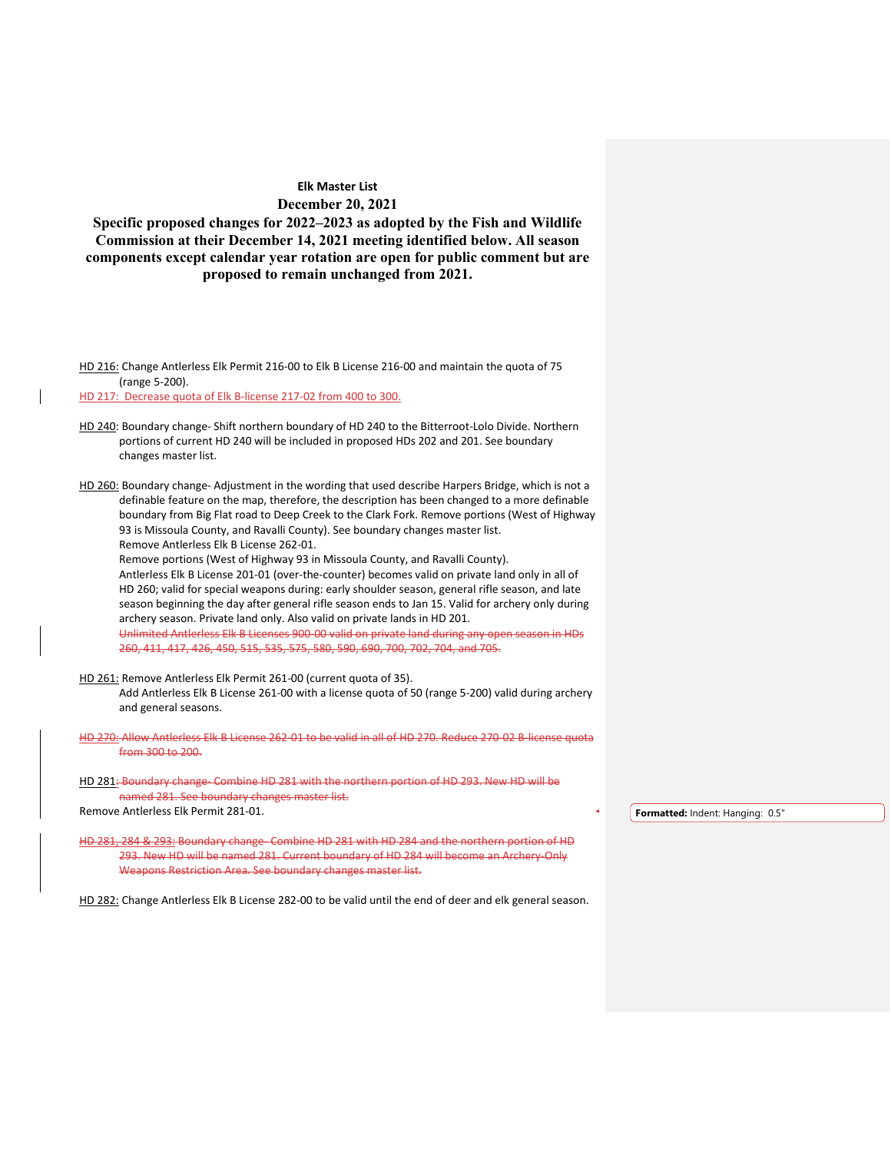**Specific proposed changes for 2022–2023 as adopted by the Fish and Wildlife Commission at their December 14, 2021 meeting identified below. All season components except calendar year rotation are open for public comment but are proposed to remain unchanged from 2021.**

HD 216: Change Antlerless Elk Permit 216-00 to Elk B License 216-00 and maintain the quota of 75 (range 5-200).

HD 217: Decrease quota of Elk B-license 217-02 from 400 to 300.

HD 240: Boundary change- Shift northern boundary of HD 240 to the Bitterroot-Lolo Divide. Northern portions of current HD 240 will be included in proposed HDs 202 and 201. See boundary changes master list.

HD 260: Boundary change- Adjustment in the wording that used describe Harpers Bridge, which is not a definable feature on the map, therefore, the description has been changed to a more definable boundary from Big Flat road to Deep Creek to the Clark Fork. Remove portions (West of Highway 93 is Missoula County, and Ravalli County). See boundary changes master list. Remove Antlerless Elk B License 262-01.

Remove portions (West of Highway 93 in Missoula County, and Ravalli County).

Antlerless Elk B License 201-01 (over-the-counter) becomes valid on private land only in all of HD 260; valid for special weapons during: early shoulder season, general rifle season, and late season beginning the day after general rifle season ends to Jan 15. Valid for archery only during archery season. Private land only. Also valid on private lands in HD 201. Unlimited Antlerless Elk B Licenses 900-00 valid on private land during any open season in HDs

260, 411, 417, 426, 450, 515, 535, 575, 580, 590, 690, 700, 702, 704, and 705.

- HD 261: Remove Antlerless Elk Permit 261-00 (current quota of 35). Add Antlerless Elk B License 261-00 with a license quota of 50 (range 5-200) valid during archery and general seasons.
- HD 270: Allow Antlerless Elk B License 262-01 to be valid in all of HD 270. Reduce 270-02 B-license quota from 300 to 200.

HD 281: Boundary change- Combine HD 281 with the northern portion of HD 293. New HD will be named 281. See boundary changes master list. Remove Antlerless Elk Permit 281-01.

HD 281, 284 & 293: Boundary change- Combine HD 281 with HD 284 and the northern portion of HD 293. New HD will be named 281. Current boundary of HD 284 will become an Archery-Only Weapons Restriction Area. See boundary changes master list.

HD 282: Change Antlerless Elk B License 282-00 to be valid until the end of deer and elk general season.

**Formatted:** Indent: Hanging: 0.5"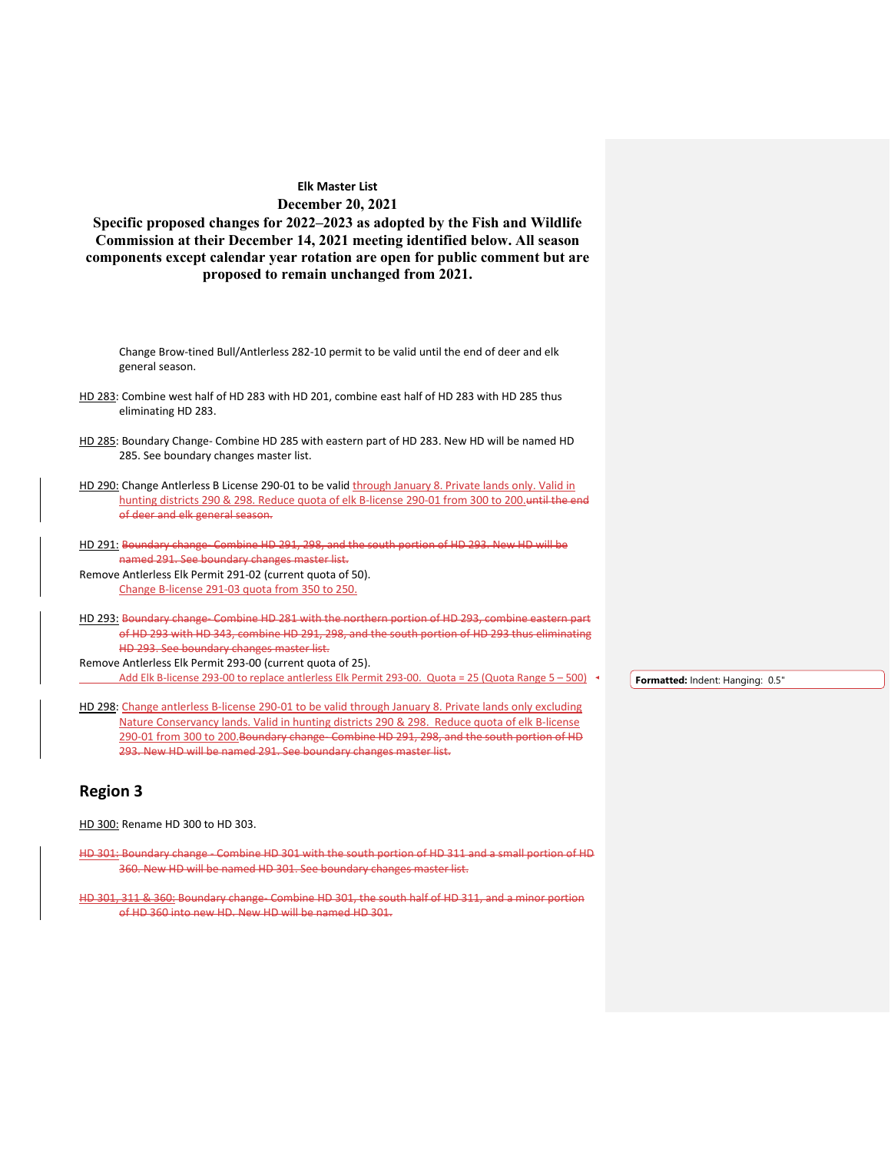**Specific proposed changes for 2022–2023 as adopted by the Fish and Wildlife Commission at their December 14, 2021 meeting identified below. All season components except calendar year rotation are open for public comment but are proposed to remain unchanged from 2021.**

Change Brow-tined Bull/Antlerless 282-10 permit to be valid until the end of deer and elk general season. HD 283: Combine west half of HD 283 with HD 201, combine east half of HD 283 with HD 285 thus

- HD 285: Boundary Change- Combine HD 285 with eastern part of HD 283. New HD will be named HD 285. See boundary changes master list.
- HD 290: Change Antlerless B License 290-01 to be valid through January 8. Private lands only. Valid in hunting districts 290 & 298. Reduce quota of elk B-license 290-01 from 300 to 200.until the end of deer and elk general season.
- HD 291: Boundary change- Combine HD 291, 298, and the south portion of HD 293. New HD will be named 291. See boundary changes master list.

Remove Antlerless Elk Permit 291-02 (current quota of 50). Change B-license 291-03 quota from 350 to 250.

HD 293: Boundary change- Combine HD 281 with the northern portion of HD 293, combine eastern part of HD 293 with HD 343, combine HD 291, 298, and the south portion of HD 293 thus eliminating HD 293. See boundary changes master list.

Remove Antlerless Elk Permit 293-00 (current quota of 25). Add Elk B-license 293-00 to replace antlerless Elk Permit 293-00. Quota = 25 (Quota Range 5 – 500)

**Formatted:** Indent: Hanging: 0.5"

HD 298: Change antlerless B-license 290-01 to be valid through January 8. Private lands only excluding Nature Conservancy lands. Valid in hunting districts 290 & 298. Reduce quota of elk B-license 290-01 from 300 to 200.Boundary change- Combine HD 291, 298, and the south portion of HD 293. New HD will be named 291. See boundary changes master list.

## **Region 3**

HD 300: Rename HD 300 to HD 303.

eliminating HD 283.

HD 301: Boundary change - Combine HD 301 with the south portion of HD 311 and a small portion of HD 360. New HD will be named HD 301. See boundary changes master list.

HD 301, 311 & 360: Boundary change- Combine HD 301, the south half of HD 311, and a minor portion of HD 360 into new HD. New HD will be named HD 301.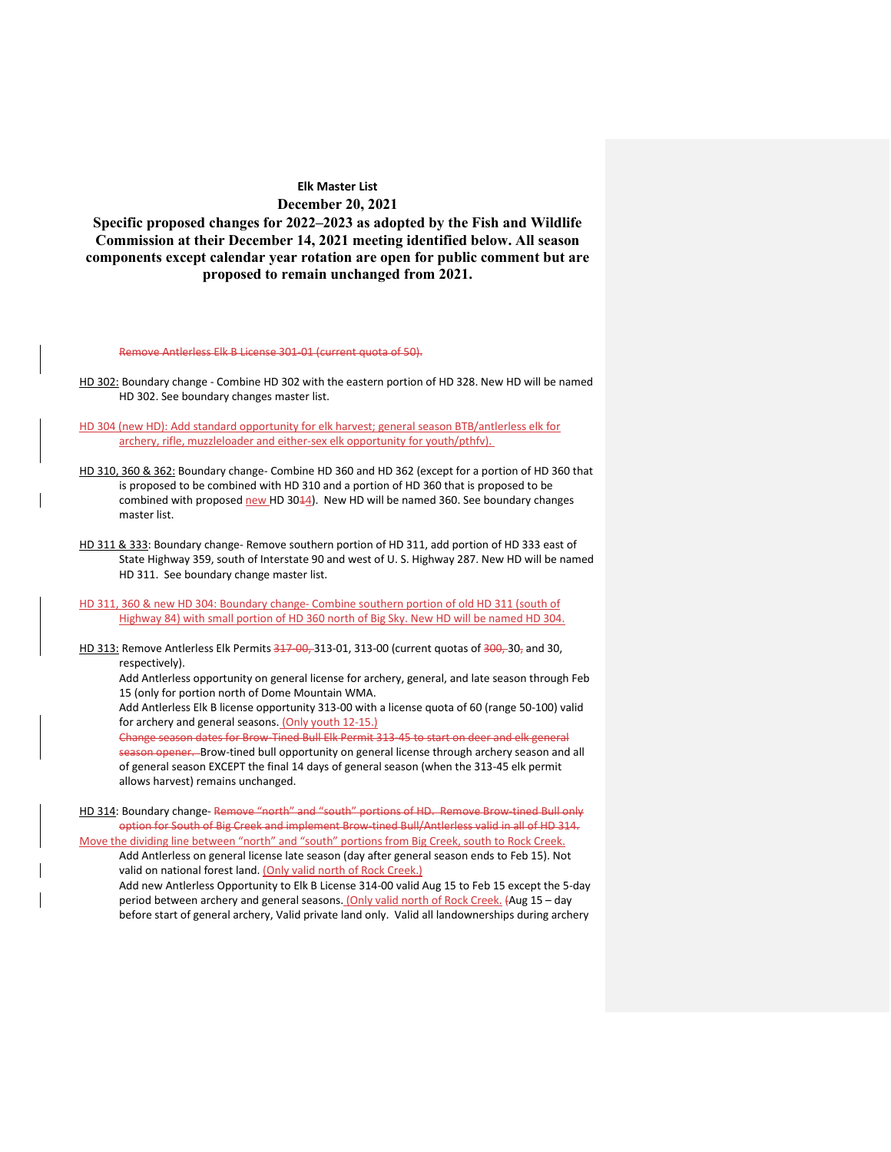**Specific proposed changes for 2022–2023 as adopted by the Fish and Wildlife Commission at their December 14, 2021 meeting identified below. All season components except calendar year rotation are open for public comment but are proposed to remain unchanged from 2021.**

Remove Antlerless Elk B License 301-01 (current quota of 50).

HD 302: Boundary change - Combine HD 302 with the eastern portion of HD 328. New HD will be named HD 302. See boundary changes master list.

HD 304 (new HD): Add standard opportunity for elk harvest; general season BTB/antlerless elk for archery, rifle, muzzleloader and either-sex elk opportunity for youth/pthfv).

HD 310, 360 & 362: Boundary change- Combine HD 360 and HD 362 (except for a portion of HD 360 that is proposed to be combined with HD 310 and a portion of HD 360 that is proposed to be combined with proposed new HD 3044). New HD will be named 360. See boundary changes master list.

HD 311 & 333: Boundary change- Remove southern portion of HD 311, add portion of HD 333 east of State Highway 359, south of Interstate 90 and west of U. S. Highway 287. New HD will be named HD 311. See boundary change master list.

HD 311, 360 & new HD 304: Boundary change- Combine southern portion of old HD 311 (south of Highway 84) with small portion of HD 360 north of Big Sky. New HD will be named HD 304.

HD 313: Remove Antlerless Elk Permits 347-00, 313-01, 313-00 (current quotas of 300, 30, and 30, respectively).

Add Antlerless opportunity on general license for archery, general, and late season through Feb 15 (only for portion north of Dome Mountain WMA.

Add Antlerless Elk B license opportunity 313-00 with a license quota of 60 (range 50-100) valid for archery and general seasons. (Only youth 12-15.)

Change season dates for Brow-Tined Bull Elk Permit 313-45 to start on deer and elk general season opener. Brow-tined bull opportunity on general license through archery season and all of general season EXCEPT the final 14 days of general season (when the 313-45 elk permit allows harvest) remains unchanged.

HD 314: Boundary change- Remove "north" and "south" portions of HD. Remove Brow-tined Bull only option for South of Big Creek and implement Brow-tined Bull/Antlerless valid in all of HD 314.

Move the dividing line between "north" and "south" portions from Big Creek, south to Rock Creek. Add Antlerless on general license late season (day after general season ends to Feb 15). Not valid on national forest land. (Only valid north of Rock Creek.)

Add new Antlerless Opportunity to Elk B License 314-00 valid Aug 15 to Feb 15 except the 5-day period between archery and general seasons. (Only valid north of Rock Creek. (Aug 15 - day before start of general archery, Valid private land only. Valid all landownerships during archery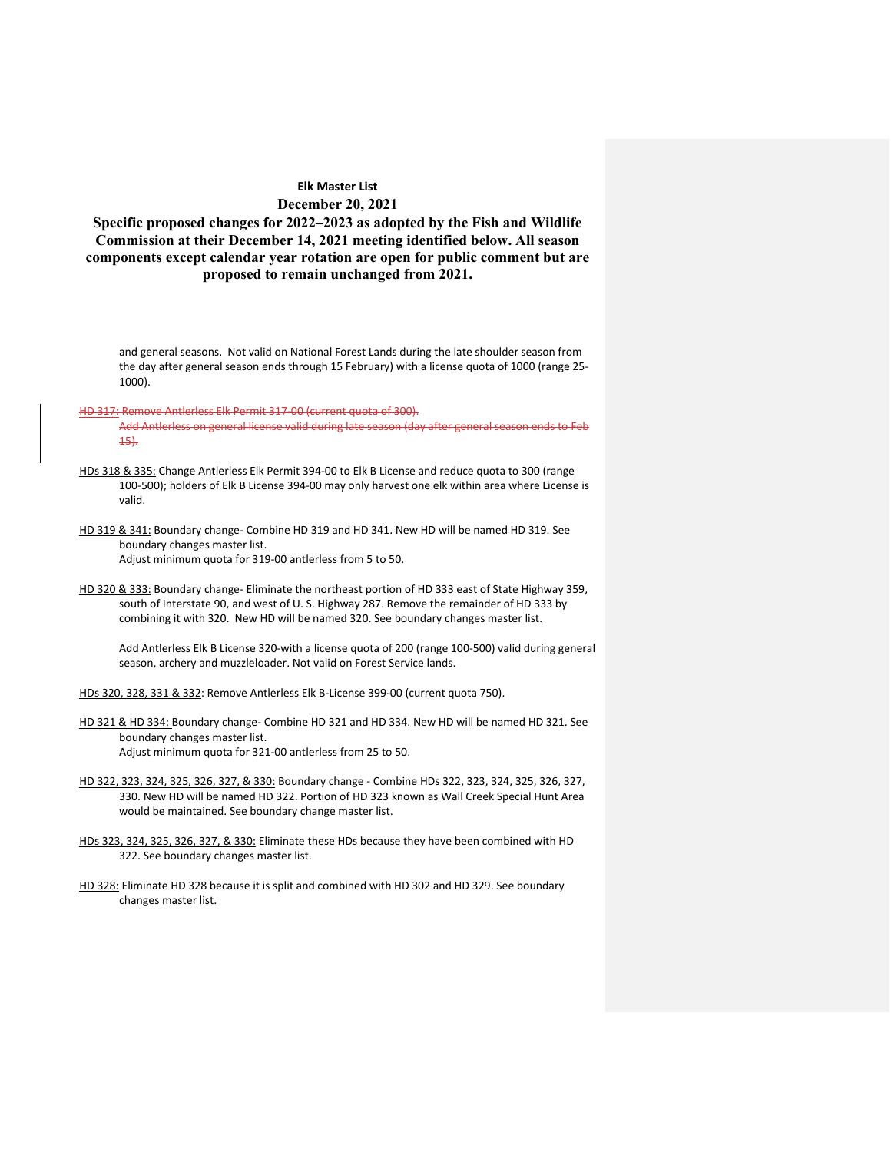**Specific proposed changes for 2022–2023 as adopted by the Fish and Wildlife Commission at their December 14, 2021 meeting identified below. All season components except calendar year rotation are open for public comment but are proposed to remain unchanged from 2021.**

and general seasons. Not valid on National Forest Lands during the late shoulder season from the day after general season ends through 15 February) with a license quota of 1000 (range 25- 1000).

#### HD 317: Remove Antlerless Elk Permit 317-00 (current quota of 300).

- Add Antlerless on general license valid during late season (day after general season ends to Feb 15).
- HDs 318 & 335: Change Antlerless Elk Permit 394-00 to Elk B License and reduce quota to 300 (range 100-500); holders of Elk B License 394-00 may only harvest one elk within area where License is valid.
- HD 319 & 341: Boundary change- Combine HD 319 and HD 341. New HD will be named HD 319. See boundary changes master list. Adjust minimum quota for 319-00 antlerless from 5 to 50.
- HD 320 & 333: Boundary change- Eliminate the northeast portion of HD 333 east of State Highway 359, south of Interstate 90, and west of U. S. Highway 287. Remove the remainder of HD 333 by combining it with 320. New HD will be named 320. See boundary changes master list.

Add Antlerless Elk B License 320-with a license quota of 200 (range 100-500) valid during general season, archery and muzzleloader. Not valid on Forest Service lands.

- HDs 320, 328, 331 & 332: Remove Antlerless Elk B-License 399-00 (current quota 750).
- HD 321 & HD 334: Boundary change- Combine HD 321 and HD 334. New HD will be named HD 321. See boundary changes master list. Adjust minimum quota for 321-00 antlerless from 25 to 50.
- HD 322, 323, 324, 325, 326, 327, & 330: Boundary change Combine HDs 322, 323, 324, 325, 326, 327, 330. New HD will be named HD 322. Portion of HD 323 known as Wall Creek Special Hunt Area would be maintained. See boundary change master list.
- HDs 323, 324, 325, 326, 327, & 330: Eliminate these HDs because they have been combined with HD 322. See boundary changes master list.
- HD 328: Eliminate HD 328 because it is split and combined with HD 302 and HD 329. See boundary changes master list.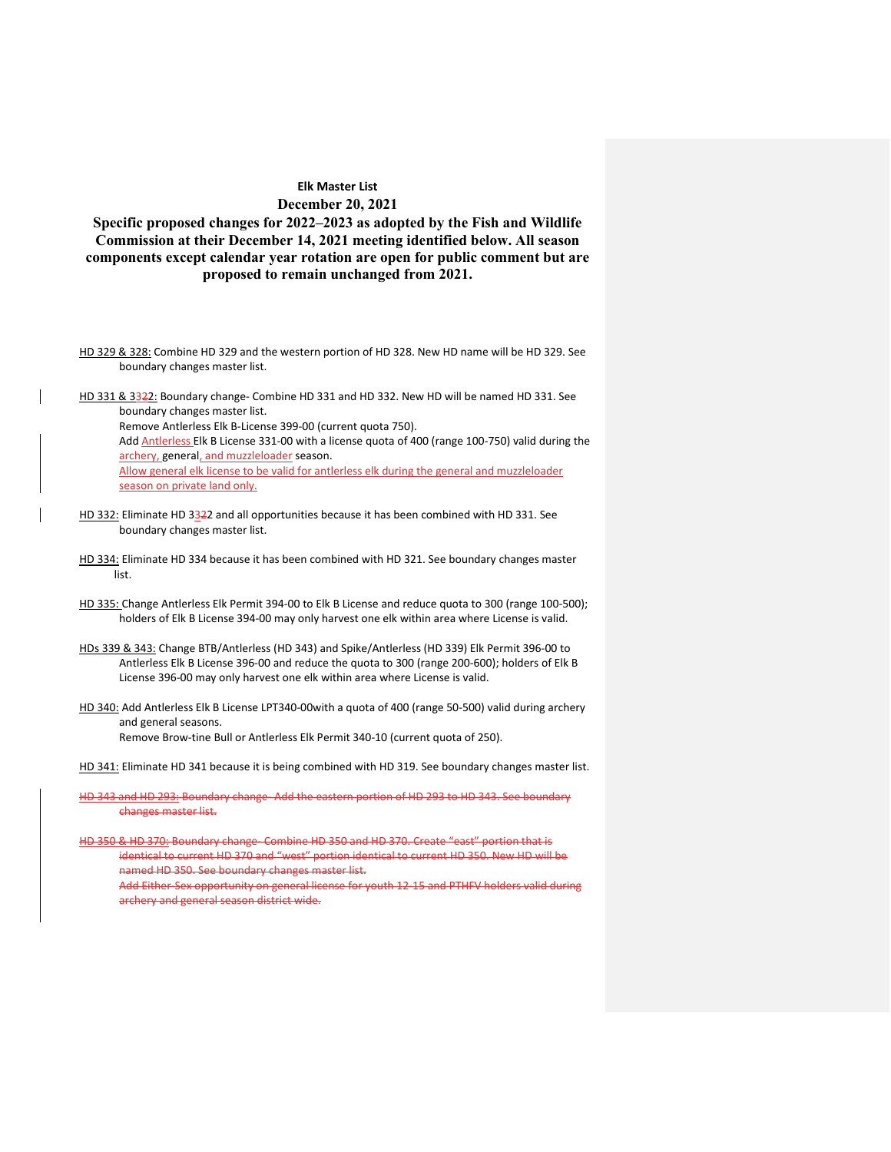**Specific proposed changes for 2022–2023 as adopted by the Fish and Wildlife Commission at their December 14, 2021 meeting identified below. All season components except calendar year rotation are open for public comment but are proposed to remain unchanged from 2021.**

- HD 329 & 328: Combine HD 329 and the western portion of HD 328. New HD name will be HD 329. See boundary changes master list.
- HD 331 & 3322: Boundary change- Combine HD 331 and HD 332. New HD will be named HD 331. See boundary changes master list.

Remove Antlerless Elk B-License 399-00 (current quota 750).

Add **Antlerless Elk B License 331-00** with a license quota of 400 (range 100-750) valid during the archery, general, and muzzleloader season.

Allow general elk license to be valid for antlerless elk during the general and muzzleloader season on private land only.

- HD 332: Eliminate HD 3322 and all opportunities because it has been combined with HD 331. See boundary changes master list.
- HD 334: Eliminate HD 334 because it has been combined with HD 321. See boundary changes master list.
- HD 335: Change Antlerless Elk Permit 394-00 to Elk B License and reduce quota to 300 (range 100-500); holders of Elk B License 394-00 may only harvest one elk within area where License is valid.
- HDs 339 & 343: Change BTB/Antlerless (HD 343) and Spike/Antlerless (HD 339) Elk Permit 396-00 to Antlerless Elk B License 396-00 and reduce the quota to 300 (range 200-600); holders of Elk B License 396-00 may only harvest one elk within area where License is valid.
- HD 340: Add Antlerless Elk B License LPT340-00with a quota of 400 (range 50-500) valid during archery and general seasons. Remove Brow-tine Bull or Antlerless Elk Permit 340-10 (current quota of 250).

HD 341: Eliminate HD 341 because it is being combined with HD 319. See boundary changes master list.

HD 343 and HD 293: Boundary change- Add the eastern portion of HD 293 to HD 343. See boundary changes master list.

HD 350 & HD 370: Boundary change- Combine HD 350 and HD 370. Create "east" portion that is identical to current HD 370 and "west" portion identical to current HD 350. New HD will be named HD 350. See boundary changes master list. Add Either-Sex opportunity on general license for youth 12-15 and PTHFV holders valid during

archery and general season district wide.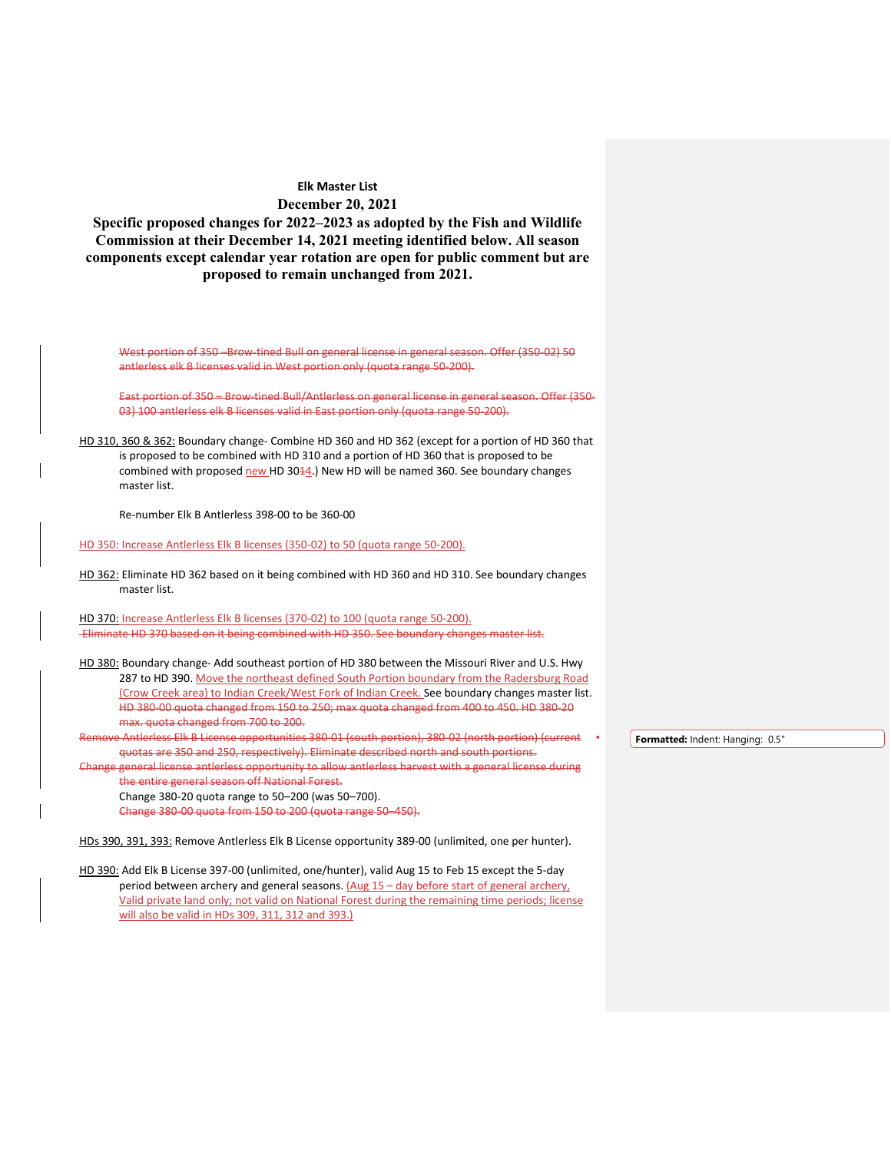**Specific proposed changes for 2022–2023 as adopted by the Fish and Wildlife Commission at their December 14, 2021 meeting identified below. All season components except calendar year rotation are open for public comment but are proposed to remain unchanged from 2021.**

West portion of 350 –Brow-tined Bull on general license in general season. Offer (350-02) 50 antlerless elk B licenses valid in West portion only (quota range 50-200).

East portion of 350 – Brow-tined Bull/Antlerless on general license in general season. Offer (350- 03) 100 antlerless elk B licenses valid in East portion only (quota range 50-200).

HD 310, 360 & 362: Boundary change- Combine HD 360 and HD 362 (except for a portion of HD 360 that is proposed to be combined with HD 310 and a portion of HD 360 that is proposed to be combined with proposed  $new$  HD 30 $44$ .) New HD will be named 360. See boundary changes master list.

Re-number Elk B Antlerless 398-00 to be 360-00

HD 350: Increase Antlerless Elk B licenses (350-02) to 50 (quota range 50-200).

HD 362: Eliminate HD 362 based on it being combined with HD 360 and HD 310. See boundary changes master list.

HD 370: Increase Antlerless Elk B licenses (370-02) to 100 (quota range 50-200). Eliminate HD 370 based on it being combined with HD 350. See boundary changes master list.

HD 380: Boundary change- Add southeast portion of HD 380 between the Missouri River and U.S. Hwy 287 to HD 390. Move the northeast defined South Portion boundary from the Radersburg Road (Crow Creek area) to Indian Creek/West Fork of Indian Creek. See boundary changes master list. HD 380-00 quota changed from 150 to 250; max quota changed from 400 to 450. HD 380-20 max. quota changed from 700 to 200.

Remove Antlerless Elk B License opportunities 380-01 (south portion), 380-02 (north portion) (current quotas are 350 and 250, respectively). Eliminate described north and south portions.

Change general license antlerless opportunity to allow antlerless harvest with a general license during the entire general season off National Forest.

Change 380-20 quota range to 50–200 (was 50–700).

Change 380-00 quota from 150 to 200 (quota range 50–450).

HDs 390, 391, 393: Remove Antlerless Elk B License opportunity 389-00 (unlimited, one per hunter).

HD 390: Add Elk B License 397-00 (unlimited, one/hunter), valid Aug 15 to Feb 15 except the 5-day period between archery and general seasons. (Aug 15 - day before start of general archery, Valid private land only; not valid on National Forest during the remaining time periods; license will also be valid in HDs 309, 311, 312 and 393.)

**Formatted:** Indent: Hanging: 0.5"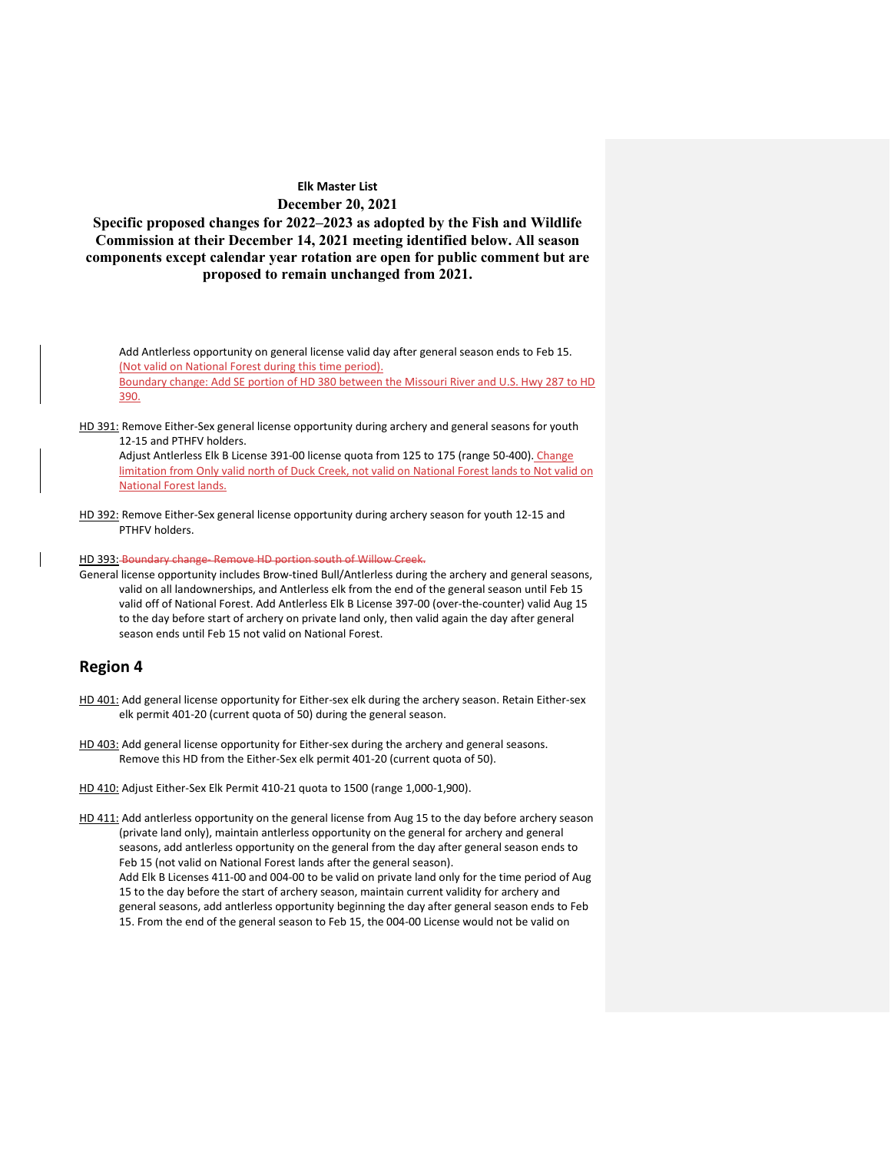**Specific proposed changes for 2022–2023 as adopted by the Fish and Wildlife Commission at their December 14, 2021 meeting identified below. All season components except calendar year rotation are open for public comment but are proposed to remain unchanged from 2021.**

Add Antlerless opportunity on general license valid day after general season ends to Feb 15. (Not valid on National Forest during this time period). Boundary change: Add SE portion of HD 380 between the Missouri River and U.S. Hwy 287 to HD

390.

HD 391: Remove Either-Sex general license opportunity during archery and general seasons for youth 12-15 and PTHFV holders.

Adjust Antlerless Elk B License 391-00 license quota from 125 to 175 (range 50-400). Change limitation from Only valid north of Duck Creek, not valid on National Forest lands to Not valid on National Forest lands.

HD 392: Remove Either-Sex general license opportunity during archery season for youth 12-15 and PTHFV holders.

HD 393: Boundary change- Remove HD portion south of Willow Creek.

General license opportunity includes Brow-tined Bull/Antlerless during the archery and general seasons, valid on all landownerships, and Antlerless elk from the end of the general season until Feb 15 valid off of National Forest. Add Antlerless Elk B License 397-00 (over-the-counter) valid Aug 15 to the day before start of archery on private land only, then valid again the day after general season ends until Feb 15 not valid on National Forest.

## **Region 4**

- HD 401: Add general license opportunity for Either-sex elk during the archery season. Retain Either-sex elk permit 401-20 (current quota of 50) during the general season.
- HD 403: Add general license opportunity for Either-sex during the archery and general seasons. Remove this HD from the Either-Sex elk permit 401-20 (current quota of 50).
- HD 410: Adjust Either-Sex Elk Permit 410-21 quota to 1500 (range 1,000-1,900).

HD 411: Add antlerless opportunity on the general license from Aug 15 to the day before archery season (private land only), maintain antlerless opportunity on the general for archery and general seasons, add antlerless opportunity on the general from the day after general season ends to Feb 15 (not valid on National Forest lands after the general season). Add Elk B Licenses 411-00 and 004-00 to be valid on private land only for the time period of Aug 15 to the day before the start of archery season, maintain current validity for archery and general seasons, add antlerless opportunity beginning the day after general season ends to Feb 15. From the end of the general season to Feb 15, the 004-00 License would not be valid on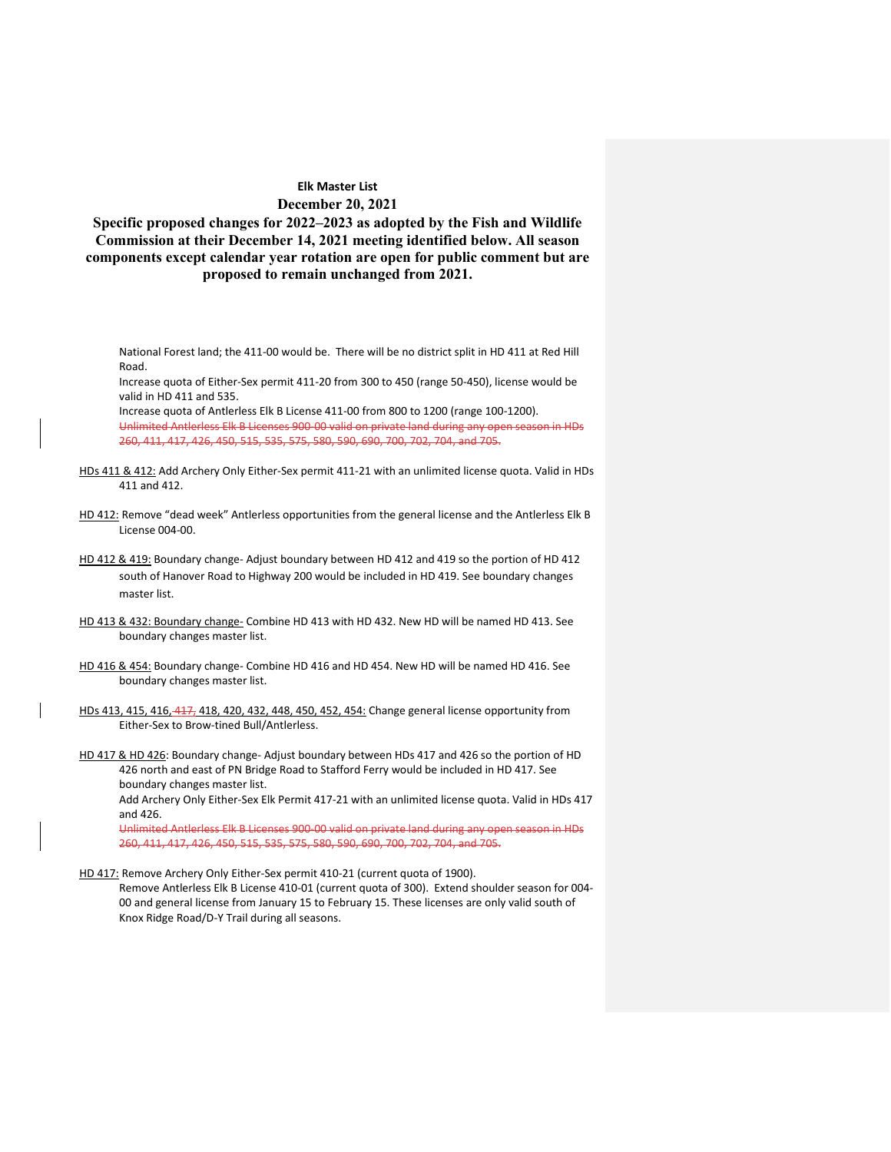**Specific proposed changes for 2022–2023 as adopted by the Fish and Wildlife Commission at their December 14, 2021 meeting identified below. All season components except calendar year rotation are open for public comment but are proposed to remain unchanged from 2021.**

National Forest land; the 411-00 would be. There will be no district split in HD 411 at Red Hill Road.

Increase quota of Either-Sex permit 411-20 from 300 to 450 (range 50-450), license would be valid in HD 411 and 535.

Increase quota of Antlerless Elk B License 411-00 from 800 to 1200 (range 100-1200). Unlimited Antlerless Elk B Licenses 900-00 valid on private land during any open season in HDs 260, 411, 417, 426, 450, 515, 535, 575, 580, 590, 690, 700, 702, 704, and 705.

- HDs 411 & 412: Add Archery Only Either-Sex permit 411-21 with an unlimited license quota. Valid in HDs 411 and 412.
- HD 412: Remove "dead week" Antlerless opportunities from the general license and the Antlerless Elk B License 004-00.
- HD 412 & 419: Boundary change- Adjust boundary between HD 412 and 419 so the portion of HD 412 south of Hanover Road to Highway 200 would be included in HD 419. See boundary changes master list.
- HD 413 & 432: Boundary change- Combine HD 413 with HD 432. New HD will be named HD 413. See boundary changes master list.
- HD 416 & 454: Boundary change- Combine HD 416 and HD 454. New HD will be named HD 416. See boundary changes master list.
- HDs 413, 415, 416, 417, 418, 420, 432, 448, 450, 452, 454: Change general license opportunity from Either-Sex to Brow-tined Bull/Antlerless.
- HD 417 & HD 426: Boundary change- Adjust boundary between HDs 417 and 426 so the portion of HD 426 north and east of PN Bridge Road to Stafford Ferry would be included in HD 417. See boundary changes master list.

Add Archery Only Either-Sex Elk Permit 417-21 with an unlimited license quota. Valid in HDs 417 and 426.

Unlimited Antlerless Elk B Licenses 900-00 valid on private land during any open season in HDs 260, 411, 417, 426, 450, 515, 535, 575, 580, 590, 690, 700, 702, 704, and 705.

HD 417: Remove Archery Only Either-Sex permit 410-21 (current quota of 1900).

Remove Antlerless Elk B License 410-01 (current quota of 300). Extend shoulder season for 004- 00 and general license from January 15 to February 15. These licenses are only valid south of Knox Ridge Road/D-Y Trail during all seasons.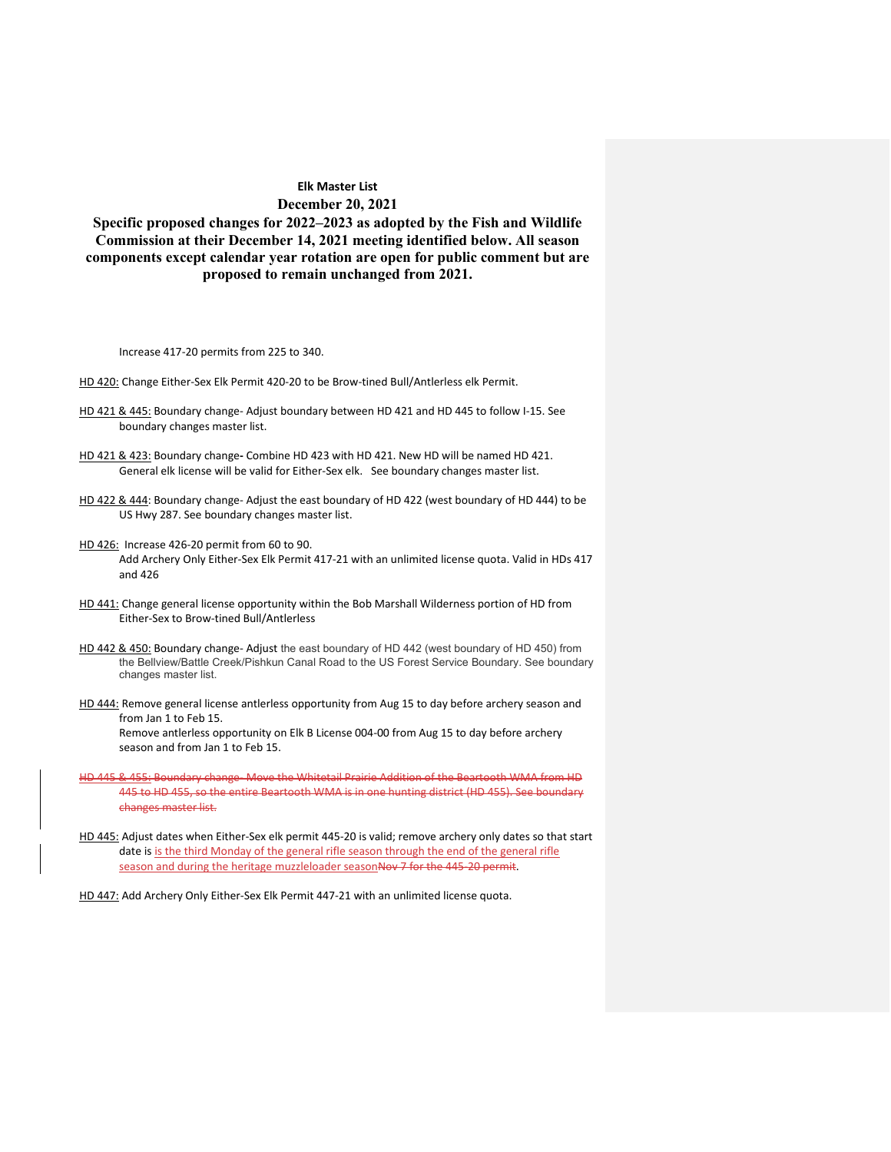**Specific proposed changes for 2022–2023 as adopted by the Fish and Wildlife Commission at their December 14, 2021 meeting identified below. All season components except calendar year rotation are open for public comment but are proposed to remain unchanged from 2021.**

Increase 417-20 permits from 225 to 340.

- HD 420: Change Either-Sex Elk Permit 420-20 to be Brow-tined Bull/Antlerless elk Permit.
- HD 421 & 445: Boundary change- Adjust boundary between HD 421 and HD 445 to follow I-15. See boundary changes master list.
- HD 421 & 423: Boundary change**-** Combine HD 423 with HD 421. New HD will be named HD 421. General elk license will be valid for Either-Sex elk. See boundary changes master list.
- HD 422 & 444: Boundary change- Adjust the east boundary of HD 422 (west boundary of HD 444) to be US Hwy 287. See boundary changes master list.
- HD 426: Increase 426-20 permit from 60 to 90. Add Archery Only Either-Sex Elk Permit 417-21 with an unlimited license quota. Valid in HDs 417 and 426
- HD 441: Change general license opportunity within the Bob Marshall Wilderness portion of HD from Either-Sex to Brow-tined Bull/Antlerless
- HD 442 & 450: Boundary change- Adjust the east boundary of HD 442 (west boundary of HD 450) from the Bellview/Battle Creek/Pishkun Canal Road to the US Forest Service Boundary. See boundary changes master list.
- HD 444: Remove general license antlerless opportunity from Aug 15 to day before archery season and from Jan 1 to Feb 15.

Remove antlerless opportunity on Elk B License 004-00 from Aug 15 to day before archery season and from Jan 1 to Feb 15.

- HD 445 & 455: Boundary change- Move the Whitetail Prairie Addition of the Beartooth WMA from HD 445 to HD 455, so the entire Beartooth WMA is in one hunting district (HD 455). See boundary changes master list.
- HD 445: Adjust dates when Either-Sex elk permit 445-20 is valid; remove archery only dates so that start date is is the third Monday of the general rifle season through the end of the general rifle season and during the heritage muzzleloader seasonNov 7 for the 445-20 permit.

HD 447: Add Archery Only Either-Sex Elk Permit 447-21 with an unlimited license quota.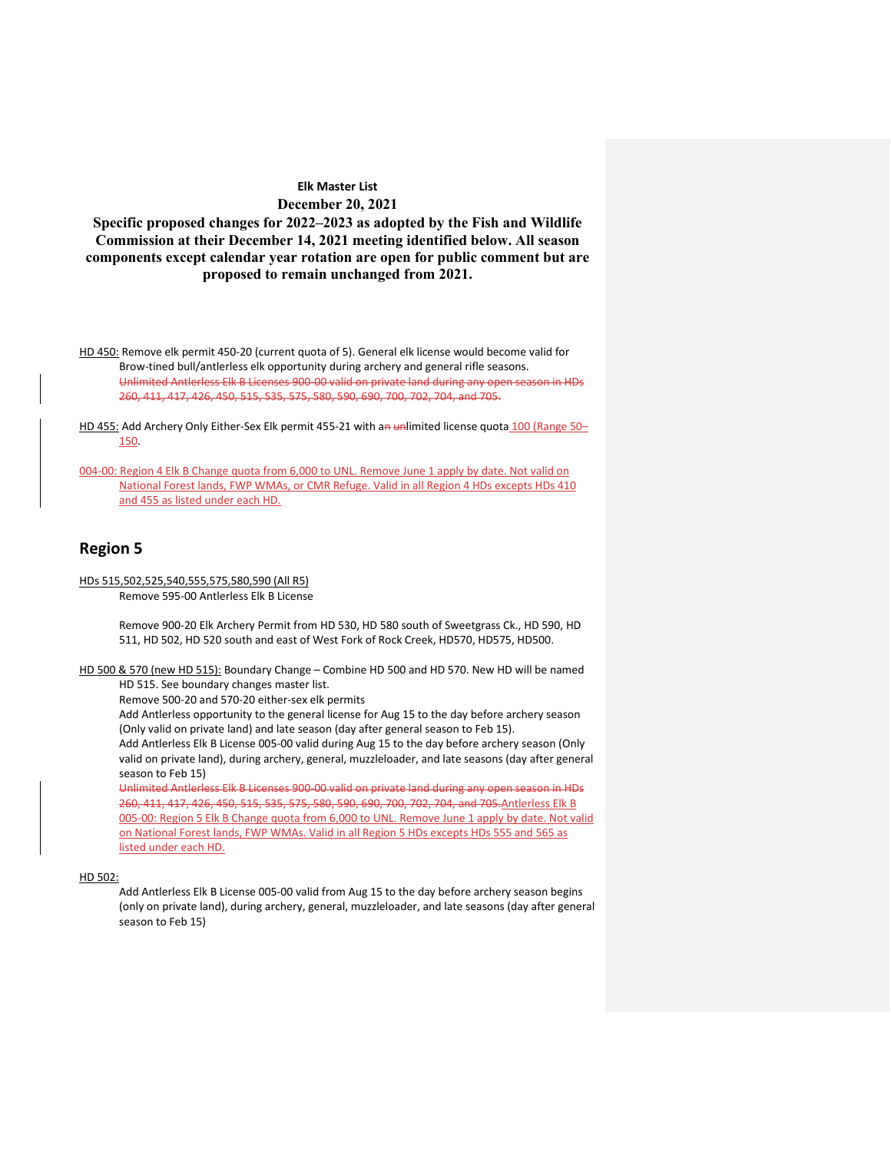**Specific proposed changes for 2022–2023 as adopted by the Fish and Wildlife Commission at their December 14, 2021 meeting identified below. All season components except calendar year rotation are open for public comment but are proposed to remain unchanged from 2021.**

HD 450: Remove elk permit 450-20 (current quota of 5). General elk license would become valid for Brow-tined bull/antlerless elk opportunity during archery and general rifle seasons. Unlimited Antlerless Elk B Licenses 900-00 valid on private land during any open season in HDs 260, 411, 417, 426, 450, 515, 535, 575, 580, 590, 690, 700, 702, 704, and 705.

HD 455: Add Archery Only Either-Sex Elk permit 455-21 with an unlimited license quota 100 (Range 50-150.

004-00: Region 4 Elk B Change quota from 6,000 to UNL. Remove June 1 apply by date. Not valid on National Forest lands, FWP WMAs, or CMR Refuge. Valid in all Region 4 HDs excepts HDs 410 and 455 as listed under each HD.

## **Region 5**

HDs 515,502,525,540,555,575,580,590 (All R5)

Remove 595-00 Antlerless Elk B License

Remove 900-20 Elk Archery Permit from HD 530, HD 580 south of Sweetgrass Ck., HD 590, HD 511, HD 502, HD 520 south and east of West Fork of Rock Creek, HD570, HD575, HD500.

HD 500 & 570 (new HD 515): Boundary Change – Combine HD 500 and HD 570. New HD will be named HD 515. See boundary changes master list.

Remove 500-20 and 570-20 either-sex elk permits

Add Antlerless opportunity to the general license for Aug 15 to the day before archery season (Only valid on private land) and late season (day after general season to Feb 15).

Add Antlerless Elk B License 005-00 valid during Aug 15 to the day before archery season (Only valid on private land), during archery, general, muzzleloader, and late seasons (day after general season to Feb 15)

Unlimited Antlerless Elk B Licenses 900-00 valid on private land during any open season in HDs 260, 411, 417, 426, 450, 515, 535, 575, 580, 590, 690, 700, 702, 704, and 705.Antlerless Elk B 005-00: Region 5 Elk B Change quota from 6,000 to UNL. Remove June 1 apply by date. Not valid on National Forest lands, FWP WMAs. Valid in all Region 5 HDs excepts HDs 555 and 565 as listed under each HD.

#### HD 502:

Add Antlerless Elk B License 005-00 valid from Aug 15 to the day before archery season begins (only on private land), during archery, general, muzzleloader, and late seasons (day after general season to Feb 15)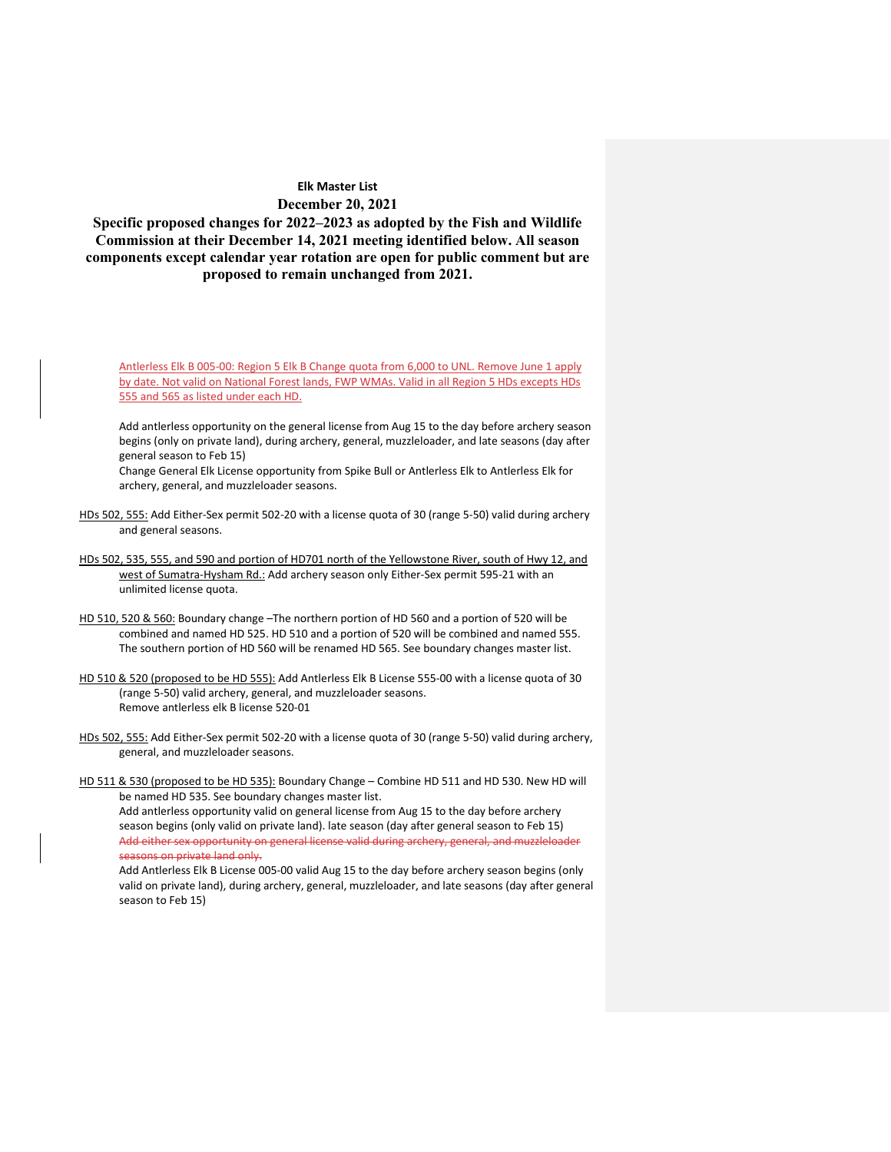**Specific proposed changes for 2022–2023 as adopted by the Fish and Wildlife Commission at their December 14, 2021 meeting identified below. All season components except calendar year rotation are open for public comment but are proposed to remain unchanged from 2021.**

Antlerless Elk B 005-00: Region 5 Elk B Change quota from 6,000 to UNL. Remove June 1 apply by date. Not valid on National Forest lands, FWP WMAs. Valid in all Region 5 HDs excepts HDs 555 and 565 as listed under each HD.

Add antlerless opportunity on the general license from Aug 15 to the day before archery season begins (only on private land), during archery, general, muzzleloader, and late seasons (day after general season to Feb 15)

Change General Elk License opportunity from Spike Bull or Antlerless Elk to Antlerless Elk for archery, general, and muzzleloader seasons.

- HDs 502, 555: Add Either-Sex permit 502-20 with a license quota of 30 (range 5-50) valid during archery and general seasons.
- HDs 502, 535, 555, and 590 and portion of HD701 north of the Yellowstone River, south of Hwy 12, and west of Sumatra-Hysham Rd.: Add archery season only Either-Sex permit 595-21 with an unlimited license quota.
- HD 510, 520 & 560: Boundary change –The northern portion of HD 560 and a portion of 520 will be combined and named HD 525. HD 510 and a portion of 520 will be combined and named 555. The southern portion of HD 560 will be renamed HD 565. See boundary changes master list.
- HD 510 & 520 (proposed to be HD 555): Add Antlerless Elk B License 555-00 with a license quota of 30 (range 5-50) valid archery, general, and muzzleloader seasons. Remove antlerless elk B license 520-01
- HDs 502, 555: Add Either-Sex permit 502-20 with a license quota of 30 (range 5-50) valid during archery, general, and muzzleloader seasons.

HD 511 & 530 (proposed to be HD 535): Boundary Change - Combine HD 511 and HD 530. New HD will be named HD 535. See boundary changes master list. Add antlerless opportunity valid on general license from Aug 15 to the day before archery season begins (only valid on private land). late season (day after general season to Feb 15) Add either sex opportunity on general license valid during archery, general, and muzzleloader seasons on private land only.

Add Antlerless Elk B License 005-00 valid Aug 15 to the day before archery season begins (only valid on private land), during archery, general, muzzleloader, and late seasons (day after general season to Feb 15)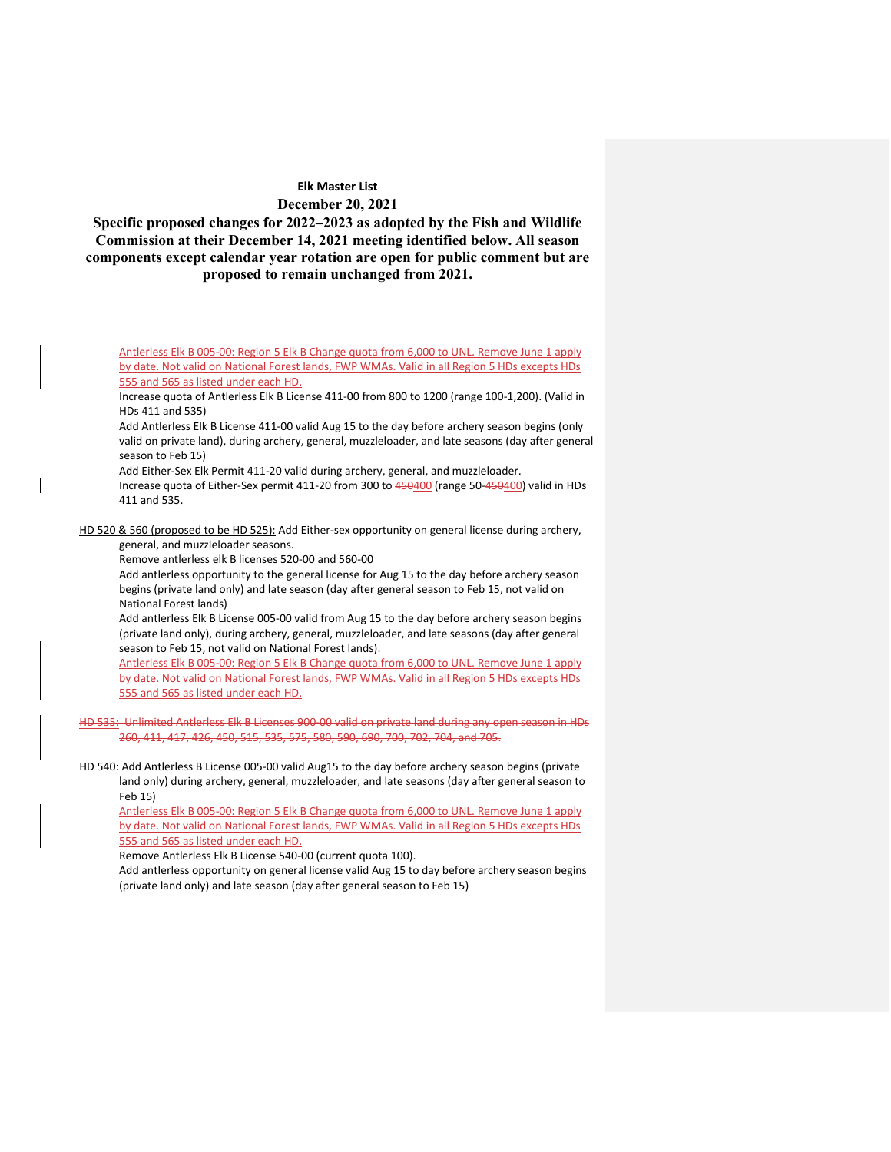**Specific proposed changes for 2022–2023 as adopted by the Fish and Wildlife Commission at their December 14, 2021 meeting identified below. All season components except calendar year rotation are open for public comment but are proposed to remain unchanged from 2021.**

Antlerless Elk B 005-00: Region 5 Elk B Change quota from 6,000 to UNL. Remove June 1 apply by date. Not valid on National Forest lands, FWP WMAs. Valid in all Region 5 HDs excepts HDs 555 and 565 as listed under each HD.

Increase quota of Antlerless Elk B License 411-00 from 800 to 1200 (range 100-1,200). (Valid in HDs 411 and 535)

Add Antlerless Elk B License 411-00 valid Aug 15 to the day before archery season begins (only valid on private land), during archery, general, muzzleloader, and late seasons (day after general season to Feb 15)

Add Either-Sex Elk Permit 411-20 valid during archery, general, and muzzleloader.

Increase quota of Either-Sex permit 411-20 from 300 to 450400 (range 50-450400) valid in HDs 411 and 535.

HD 520 & 560 (proposed to be HD 525): Add Either-sex opportunity on general license during archery, general, and muzzleloader seasons.

Remove antlerless elk B licenses 520-00 and 560-00

Add antlerless opportunity to the general license for Aug 15 to the day before archery season begins (private land only) and late season (day after general season to Feb 15, not valid on National Forest lands)

Add antlerless Elk B License 005-00 valid from Aug 15 to the day before archery season begins (private land only), during archery, general, muzzleloader, and late seasons (day after general season to Feb 15, not valid on National Forest lands).

Antlerless Elk B 005-00: Region 5 Elk B Change quota from 6,000 to UNL. Remove June 1 apply by date. Not valid on National Forest lands, FWP WMAs. Valid in all Region 5 HDs excepts HDs 555 and 565 as listed under each HD.

HD 535: Unlimited Antlerless Elk B Licenses 900-00 valid on private land during any open season in HDs 260, 411, 417, 426, 450, 515, 535, 575, 580, 590, 690, 700, 702, 704, and 705.

HD 540: Add Antlerless B License 005-00 valid Aug15 to the day before archery season begins (private land only) during archery, general, muzzleloader, and late seasons (day after general season to Feb 15)

Antlerless Elk B 005-00: Region 5 Elk B Change quota from 6,000 to UNL. Remove June 1 apply by date. Not valid on National Forest lands, FWP WMAs. Valid in all Region 5 HDs excepts HDs 555 and 565 as listed under each HD.

Remove Antlerless Elk B License 540-00 (current quota 100).

Add antlerless opportunity on general license valid Aug 15 to day before archery season begins (private land only) and late season (day after general season to Feb 15)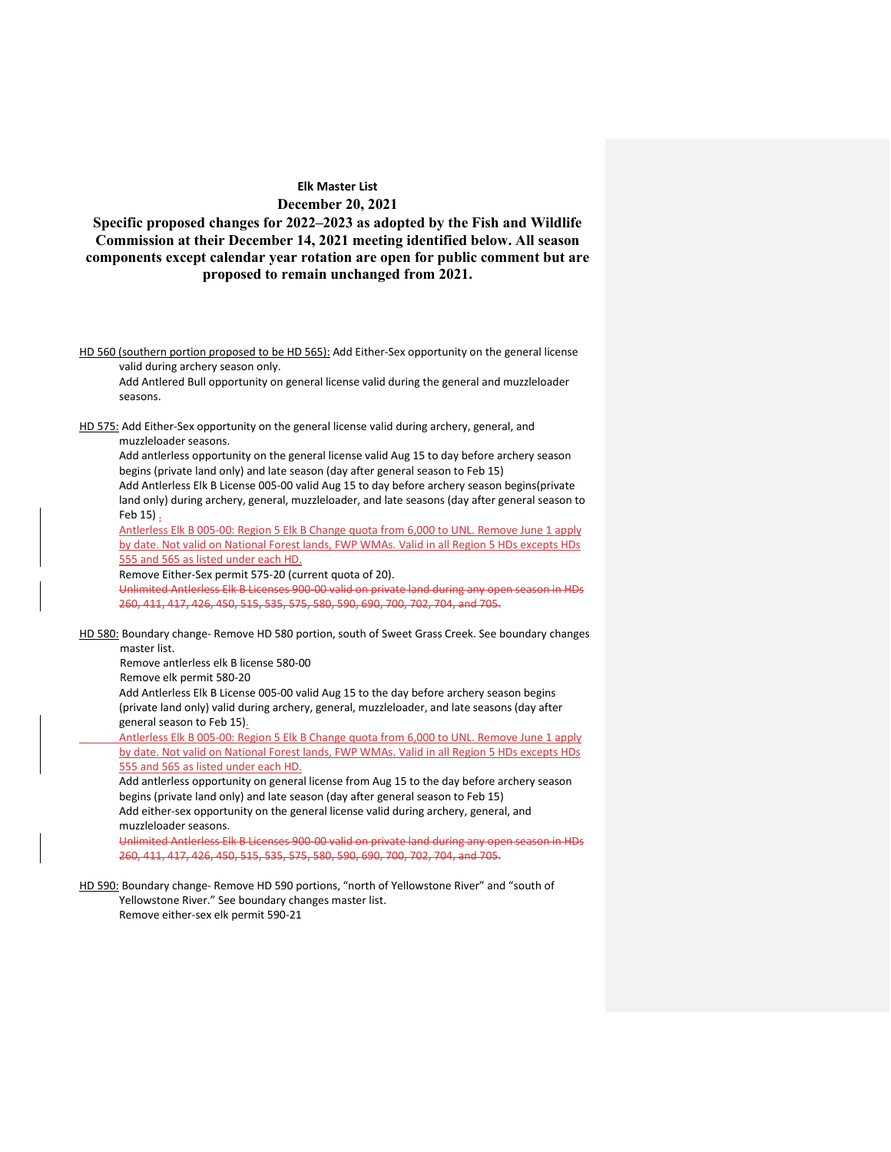**Specific proposed changes for 2022–2023 as adopted by the Fish and Wildlife Commission at their December 14, 2021 meeting identified below. All season components except calendar year rotation are open for public comment but are proposed to remain unchanged from 2021.**

HD 560 (southern portion proposed to be HD 565): Add Either-Sex opportunity on the general license valid during archery season only.

Add Antlered Bull opportunity on general license valid during the general and muzzleloader seasons.

HD 575: Add Either-Sex opportunity on the general license valid during archery, general, and muzzleloader seasons.

Add antlerless opportunity on the general license valid Aug 15 to day before archery season begins (private land only) and late season (day after general season to Feb 15) Add Antlerless Elk B License 005-00 valid Aug 15 to day before archery season begins(private

land only) during archery, general, muzzleloader, and late seasons (day after general season to Feb 15) .

Antlerless Elk B 005-00: Region 5 Elk B Change quota from 6,000 to UNL. Remove June 1 apply by date. Not valid on National Forest lands, FWP WMAs. Valid in all Region 5 HDs excepts HDs 555 and 565 as listed under each HD.

Remove Either-Sex permit 575-20 (current quota of 20).

Unlimited Antlerless Elk B Licenses 900-00 valid on private land during any open season in HDs 260, 411, 417, 426, 450, 515, 535, 575, 580, 590, 690, 700, 702, 704, and 705.

HD 580: Boundary change- Remove HD 580 portion, south of Sweet Grass Creek. See boundary changes master list.

Remove antlerless elk B license 580-00

Remove elk permit 580-20

Add Antlerless Elk B License 005-00 valid Aug 15 to the day before archery season begins (private land only) valid during archery, general, muzzleloader, and late seasons (day after general season to Feb 15).

Antlerless Elk B 005-00: Region 5 Elk B Change quota from 6,000 to UNL. Remove June 1 apply by date. Not valid on National Forest lands, FWP WMAs. Valid in all Region 5 HDs excepts HDs 555 and 565 as listed under each HD.

Add antlerless opportunity on general license from Aug 15 to the day before archery season begins (private land only) and late season (day after general season to Feb 15) Add either-sex opportunity on the general license valid during archery, general, and muzzleloader seasons.

Unlimited Antlerless Elk B Licenses 900-00 valid on private land during any open season in HDs 260, 411, 417, 426, 450, 515, 535, 575, 580, 590, 690, 700, 702, 704, and 705.

HD 590: Boundary change- Remove HD 590 portions, "north of Yellowstone River" and "south of

Yellowstone River." See boundary changes master list. Remove either-sex elk permit 590-21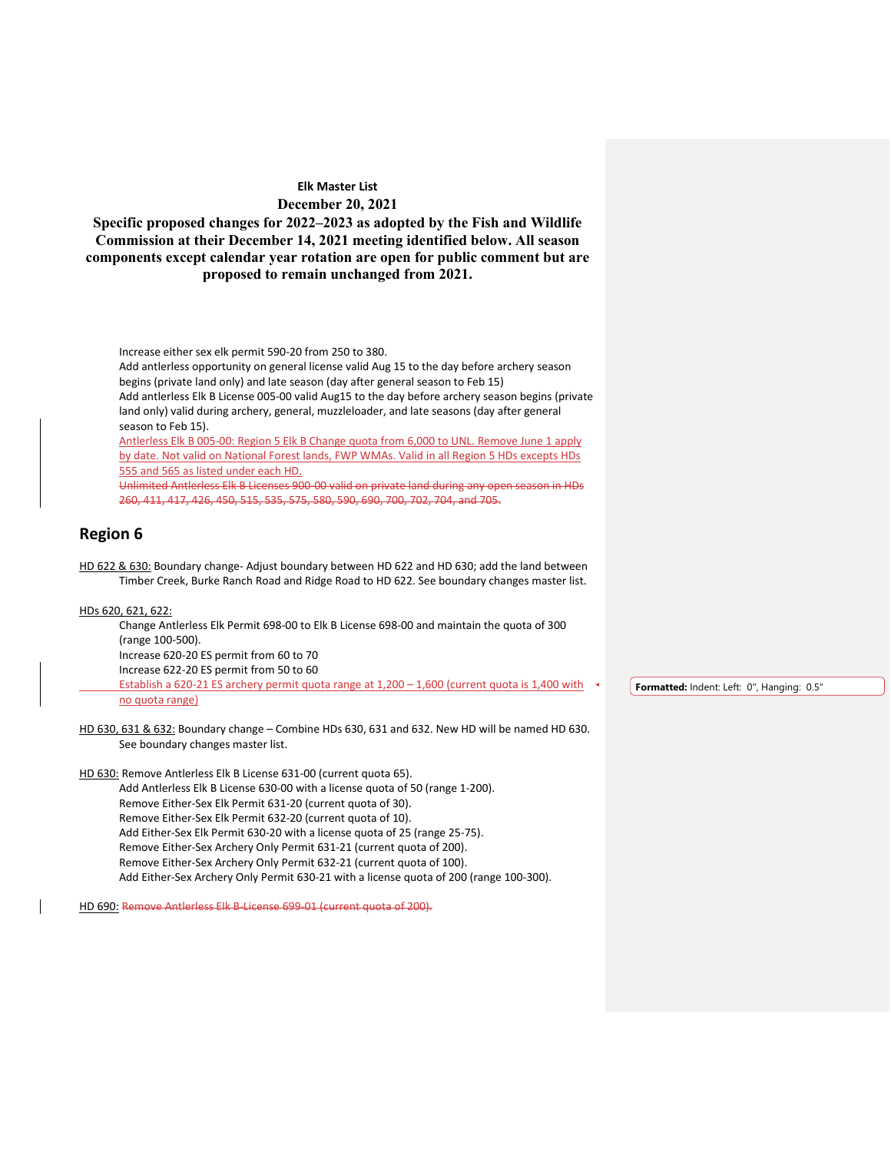**Specific proposed changes for 2022–2023 as adopted by the Fish and Wildlife Commission at their December 14, 2021 meeting identified below. All season components except calendar year rotation are open for public comment but are proposed to remain unchanged from 2021.**

Increase either sex elk permit 590-20 from 250 to 380.

Add antlerless opportunity on general license valid Aug 15 to the day before archery season begins (private land only) and late season (day after general season to Feb 15)

Add antlerless Elk B License 005-00 valid Aug15 to the day before archery season begins (private land only) valid during archery, general, muzzleloader, and late seasons (day after general season to Feb 15).

Antlerless Elk B 005-00: Region 5 Elk B Change quota from 6,000 to UNL. Remove June 1 apply by date. Not valid on National Forest lands, FWP WMAs. Valid in all Region 5 HDs excepts HDs 555 and 565 as listed under each HD.

Unlimited Antlerless Elk B Licenses 900-00 valid on private land during any open season in HDs 260, 411, 417, 426, 450, 515, 535, 575, 580, 590, 690, 700, 702, 704, and 705.

## **Region 6**

HD 622 & 630: Boundary change- Adjust boundary between HD 622 and HD 630; add the land between Timber Creek, Burke Ranch Road and Ridge Road to HD 622. See boundary changes master list.

#### HDs 620, 621, 622:

Change Antlerless Elk Permit 698-00 to Elk B License 698-00 and maintain the quota of 300 (range 100-500). Increase 620-20 ES permit from 60 to 70 Increase 622-20 ES permit from 50 to 60 Establish a 620-21 ES archery permit quota range at 1,200 – 1,600 (current quota is 1,400 with no quota range)

**Formatted:** Indent: Left: 0", Hanging: 0.5"

HD 630, 631 & 632: Boundary change – Combine HDs 630, 631 and 632. New HD will be named HD 630. See boundary changes master list.

HD 630: Remove Antlerless Elk B License 631-00 (current quota 65). Add Antlerless Elk B License 630-00 with a license quota of 50 (range 1-200).

Remove Either-Sex Elk Permit 631-20 (current quota of 30). Remove Either-Sex Elk Permit 632-20 (current quota of 10). Add Either-Sex Elk Permit 630-20 with a license quota of 25 (range 25-75). Remove Either-Sex Archery Only Permit 631-21 (current quota of 200). Remove Either-Sex Archery Only Permit 632-21 (current quota of 100). Add Either-Sex Archery Only Permit 630-21 with a license quota of 200 (range 100-300).

HD 690: Remove Antlerless Elk B-License 699-01 (current quota of 200).